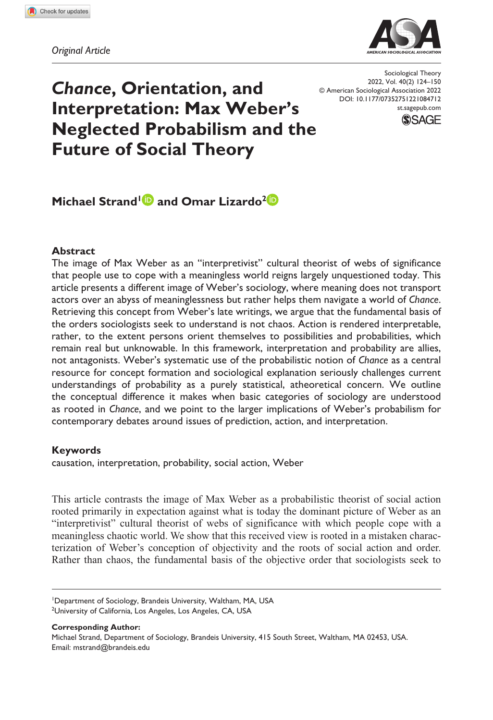**108[4712](http://crossmark.crossref.org/dialog/?doi=10.1177%2F07352751221084712&domain=pdf&date_stamp=2022-03-21)**STXXXX10.1177/07352751221084712Sociological Theory**Strand and Lizardo**

*Original Article*



*Chance***, Orientation, and Interpretation: Max Weber's Neglected Probabilism and the Future of Social Theory**

DOI: 10.1177/07352751221084712 Sociological Theory 2022, Vol. 40(2) 124–150 © American Sociological Association 2022 [st.sagepub.com](https://st.sagepub.com)



# **Michael Strand<sup>1</sup> and Omar Lizardo<sup>2</sup>**

#### **Abstract**

The image of Max Weber as an "interpretivist" cultural theorist of webs of significance that people use to cope with a meaningless world reigns largely unquestioned today. This article presents a different image of Weber's sociology, where meaning does not transport actors over an abyss of meaninglessness but rather helps them navigate a world of *Chance*. Retrieving this concept from Weber's late writings, we argue that the fundamental basis of the orders sociologists seek to understand is not chaos. Action is rendered interpretable, rather, to the extent persons orient themselves to possibilities and probabilities, which remain real but unknowable. In this framework, interpretation and probability are allies, not antagonists. Weber's systematic use of the probabilistic notion of *Chance* as a central resource for concept formation and sociological explanation seriously challenges current understandings of probability as a purely statistical, atheoretical concern. We outline the conceptual difference it makes when basic categories of sociology are understood as rooted in *Chance*, and we point to the larger implications of Weber's probabilism for contemporary debates around issues of prediction, action, and interpretation.

#### **Keywords**

causation, interpretation, probability, social action, Weber

This article contrasts the image of Max Weber as a probabilistic theorist of social action rooted primarily in expectation against what is today the dominant picture of Weber as an "interpretivist" cultural theorist of webs of significance with which people cope with a meaningless chaotic world. We show that this received view is rooted in a mistaken characterization of Weber's conception of objectivity and the roots of social action and order. Rather than chaos, the fundamental basis of the objective order that sociologists seek to

**Corresponding Author:** Michael Strand, Department of Sociology, Brandeis University, 415 South Street, Waltham, MA 02453, USA. Email: [mstrand@brandeis.edu](mailto:mstrand@brandeis.edu)

<sup>1</sup> Department of Sociology, Brandeis University, Waltham, MA, USA <sup>2</sup>University of California, Los Angeles, Los Angeles, CA, USA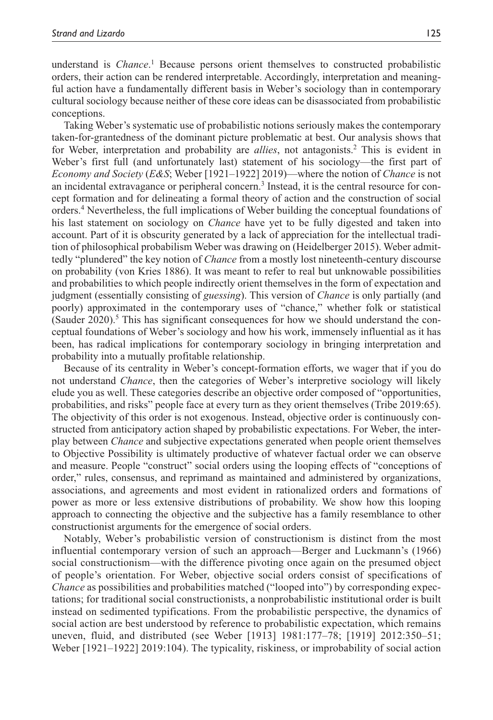understand is *Chance*.<sup>1</sup> Because persons orient themselves to constructed probabilistic orders, their action can be rendered interpretable. Accordingly, interpretation and meaningful action have a fundamentally different basis in Weber's sociology than in contemporary cultural sociology because neither of these core ideas can be disassociated from probabilistic conceptions.

Taking Weber's systematic use of probabilistic notions seriously makes the contemporary taken-for-grantedness of the dominant picture problematic at best. Our analysis shows that for Weber, interpretation and probability are *allies*, not antagonists.2 This is evident in Weber's first full (and unfortunately last) statement of his sociology—the first part of *Economy and Society* (*E&S*; Weber [1921–1922] 2019)—where the notion of *Chance* is not an incidental extravagance or peripheral concern.<sup>3</sup> Instead, it is the central resource for concept formation and for delineating a formal theory of action and the construction of social orders.4 Nevertheless, the full implications of Weber building the conceptual foundations of his last statement on sociology on *Chance* have yet to be fully digested and taken into account. Part of it is obscurity generated by a lack of appreciation for the intellectual tradition of philosophical probabilism Weber was drawing on (Heidelberger 2015). Weber admittedly "plundered" the key notion of *Chance* from a mostly lost nineteenth-century discourse on probability (von Kries 1886). It was meant to refer to real but unknowable possibilities and probabilities to which people indirectly orient themselves in the form of expectation and judgment (essentially consisting of *guessing*). This version of *Chance* is only partially (and poorly) approximated in the contemporary uses of "chance," whether folk or statistical (Sauder 2020).<sup>5</sup> This has significant consequences for how we should understand the conceptual foundations of Weber's sociology and how his work, immensely influential as it has been, has radical implications for contemporary sociology in bringing interpretation and probability into a mutually profitable relationship.

Because of its centrality in Weber's concept-formation efforts, we wager that if you do not understand *Chance*, then the categories of Weber's interpretive sociology will likely elude you as well. These categories describe an objective order composed of "opportunities, probabilities, and risks" people face at every turn as they orient themselves (Tribe 2019:65). The objectivity of this order is not exogenous. Instead, objective order is continuously constructed from anticipatory action shaped by probabilistic expectations. For Weber, the interplay between *Chance* and subjective expectations generated when people orient themselves to Objective Possibility is ultimately productive of whatever factual order we can observe and measure. People "construct" social orders using the looping effects of "conceptions of order," rules, consensus, and reprimand as maintained and administered by organizations, associations, and agreements and most evident in rationalized orders and formations of power as more or less extensive distributions of probability. We show how this looping approach to connecting the objective and the subjective has a family resemblance to other constructionist arguments for the emergence of social orders.

Notably, Weber's probabilistic version of constructionism is distinct from the most influential contemporary version of such an approach—Berger and Luckmann's (1966) social constructionism—with the difference pivoting once again on the presumed object of people's orientation. For Weber, objective social orders consist of specifications of *Chance* as possibilities and probabilities matched ("looped into") by corresponding expectations; for traditional social constructionists, a nonprobabilistic institutional order is built instead on sedimented typifications. From the probabilistic perspective, the dynamics of social action are best understood by reference to probabilistic expectation, which remains uneven, fluid, and distributed (see Weber [1913] 1981:177–78; [1919] 2012:350–51; Weber [1921–1922] 2019:104). The typicality, riskiness, or improbability of social action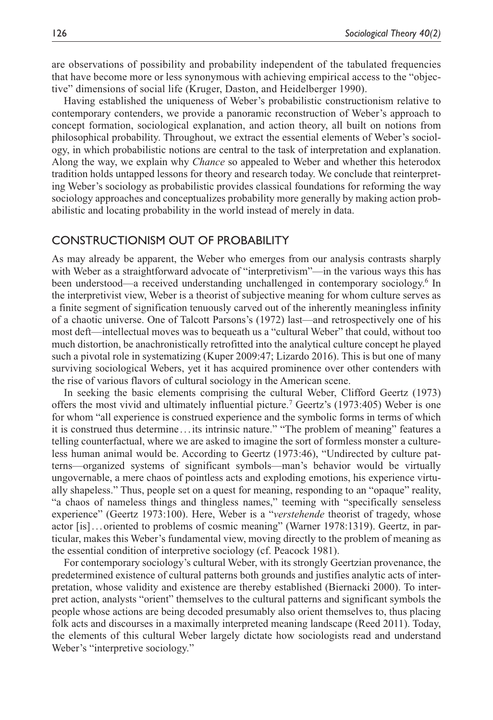are observations of possibility and probability independent of the tabulated frequencies that have become more or less synonymous with achieving empirical access to the "objective" dimensions of social life (Kruger, Daston, and Heidelberger 1990).

Having established the uniqueness of Weber's probabilistic constructionism relative to contemporary contenders, we provide a panoramic reconstruction of Weber's approach to concept formation, sociological explanation, and action theory, all built on notions from philosophical probability. Throughout, we extract the essential elements of Weber's sociology, in which probabilistic notions are central to the task of interpretation and explanation. Along the way, we explain why *Chance* so appealed to Weber and whether this heterodox tradition holds untapped lessons for theory and research today. We conclude that reinterpreting Weber's sociology as probabilistic provides classical foundations for reforming the way sociology approaches and conceptualizes probability more generally by making action probabilistic and locating probability in the world instead of merely in data.

#### Constructionism out of Probability

As may already be apparent, the Weber who emerges from our analysis contrasts sharply with Weber as a straightforward advocate of "interpretivism"—in the various ways this has been understood—a received understanding unchallenged in contemporary sociology.<sup>6</sup> In the interpretivist view, Weber is a theorist of subjective meaning for whom culture serves as a finite segment of signification tenuously carved out of the inherently meaningless infinity of a chaotic universe. One of Talcott Parsons's (1972) last—and retrospectively one of his most deft—intellectual moves was to bequeath us a "cultural Weber" that could, without too much distortion, be anachronistically retrofitted into the analytical culture concept he played such a pivotal role in systematizing (Kuper 2009:47; Lizardo 2016). This is but one of many surviving sociological Webers, yet it has acquired prominence over other contenders with the rise of various flavors of cultural sociology in the American scene.

In seeking the basic elements comprising the cultural Weber, Clifford Geertz (1973) offers the most vivid and ultimately influential picture.<sup>7</sup> Geertz's (1973:405) Weber is one for whom "all experience is construed experience and the symbolic forms in terms of which it is construed thus determine ...its intrinsic nature." "The problem of meaning" features a telling counterfactual, where we are asked to imagine the sort of formless monster a cultureless human animal would be. According to Geertz (1973:46), "Undirected by culture patterns—organized systems of significant symbols—man's behavior would be virtually ungovernable, a mere chaos of pointless acts and exploding emotions, his experience virtually shapeless." Thus, people set on a quest for meaning, responding to an "opaque" reality, "a chaos of nameless things and thingless names," teeming with "specifically senseless experience" (Geertz 1973:100). Here, Weber is a "*verstehende* theorist of tragedy, whose actor [is]...oriented to problems of cosmic meaning" (Warner 1978:1319). Geertz, in particular, makes this Weber's fundamental view, moving directly to the problem of meaning as the essential condition of interpretive sociology (cf. Peacock 1981).

For contemporary sociology's cultural Weber, with its strongly Geertzian provenance, the predetermined existence of cultural patterns both grounds and justifies analytic acts of interpretation, whose validity and existence are thereby established (Biernacki 2000). To interpret action, analysts "orient" themselves to the cultural patterns and significant symbols the people whose actions are being decoded presumably also orient themselves to, thus placing folk acts and discourses in a maximally interpreted meaning landscape (Reed 2011). Today, the elements of this cultural Weber largely dictate how sociologists read and understand Weber's "interpretive sociology."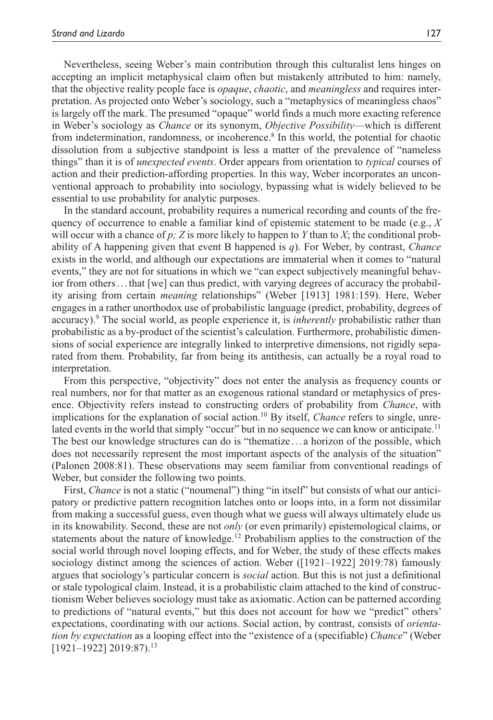Nevertheless, seeing Weber's main contribution through this culturalist lens hinges on accepting an implicit metaphysical claim often but mistakenly attributed to him: namely, that the objective reality people face is *opaque*, *chaotic*, and *meaningless* and requires interpretation. As projected onto Weber's sociology, such a "metaphysics of meaningless chaos" is largely off the mark. The presumed "opaque" world finds a much more exacting reference in Weber's sociology as *Chance* or its synonym, *Objective Possibility*—which is different from indetermination, randomness, or incoherence.<sup>8</sup> In this world, the potential for chaotic dissolution from a subjective standpoint is less a matter of the prevalence of "nameless things" than it is of *unexpected events*. Order appears from orientation to *typical* courses of action and their prediction-affording properties. In this way, Weber incorporates an unconventional approach to probability into sociology, bypassing what is widely believed to be essential to use probability for analytic purposes.

In the standard account, probability requires a numerical recording and counts of the frequency of occurrence to enable a familiar kind of epistemic statement to be made (e.g., *X* will occur with a chance of  $p$ ;  $Z$  is more likely to happen to  $Y$  than to  $X$ ; the conditional probability of A happening given that event B happened is *q*). For Weber, by contrast, *Chance* exists in the world, and although our expectations are immaterial when it comes to "natural events," they are not for situations in which we "can expect subjectively meaningful behavior from others...that [we] can thus predict, with varying degrees of accuracy the probability arising from certain *meaning* relationships" (Weber [1913] 1981:159). Here, Weber engages in a rather unorthodox use of probabilistic language (predict, probability, degrees of accuracy).<sup>9</sup> The social world, as people experience it, is *inherently* probabilistic rather than probabilistic as a by-product of the scientist's calculation. Furthermore, probabilistic dimensions of social experience are integrally linked to interpretive dimensions, not rigidly separated from them. Probability, far from being its antithesis, can actually be a royal road to interpretation.

From this perspective, "objectivity" does not enter the analysis as frequency counts or real numbers, nor for that matter as an exogenous rational standard or metaphysics of presence. Objectivity refers instead to constructing orders of probability from *Chance*, with implications for the explanation of social action.10 By itself, *Chance* refers to single, unrelated events in the world that simply "occur" but in no sequence we can know or anticipate.<sup>11</sup> The best our knowledge structures can do is "thematize . . . a horizon of the possible, which does not necessarily represent the most important aspects of the analysis of the situation" (Palonen 2008:81). These observations may seem familiar from conventional readings of Weber, but consider the following two points.

First, *Chance* is not a static ("noumenal") thing "in itself" but consists of what our anticipatory or predictive pattern recognition latches onto or loops into, in a form not dissimilar from making a successful guess, even though what we guess will always ultimately elude us in its knowability. Second, these are not *only* (or even primarily) epistemological claims, or statements about the nature of knowledge.<sup>12</sup> Probabilism applies to the construction of the social world through novel looping effects, and for Weber, the study of these effects makes sociology distinct among the sciences of action. Weber ([1921–1922] 2019:78) famously argues that sociology's particular concern is *social* action. But this is not just a definitional or stale typological claim. Instead, it is a probabilistic claim attached to the kind of constructionism Weber believes sociology must take as axiomatic. Action can be patterned according to predictions of "natural events," but this does not account for how we "predict" others' expectations, coordinating with our actions. Social action, by contrast, consists of *orientation by expectation* as a looping effect into the "existence of a (specifiable) *Chance*" (Weber  $[1921-1922] 2019:87$ <sup>13</sup>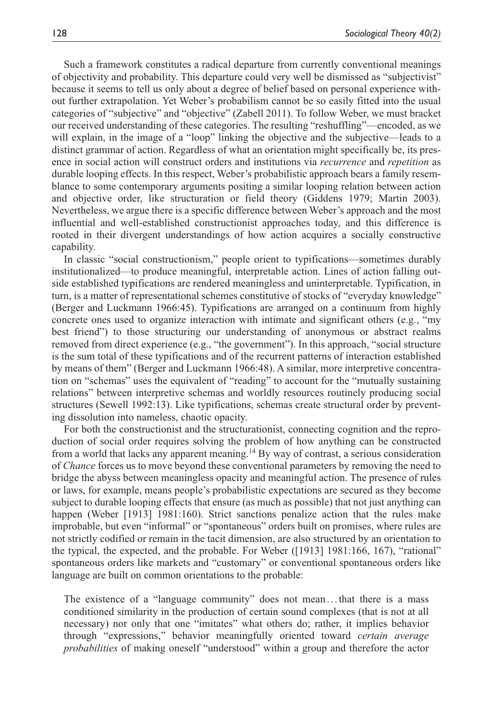Such a framework constitutes a radical departure from currently conventional meanings of objectivity and probability. This departure could very well be dismissed as "subjectivist" because it seems to tell us only about a degree of belief based on personal experience without further extrapolation. Yet Weber's probabilism cannot be so easily fitted into the usual categories of "subjective" and "objective" (Zabell 2011). To follow Weber, we must bracket our received understanding of these categories. The resulting "reshuffling"—encoded, as we will explain, in the image of a "loop" linking the objective and the subjective—leads to a distinct grammar of action. Regardless of what an orientation might specifically be, its presence in social action will construct orders and institutions via *recurrence* and *repetition* as durable looping effects. In this respect, Weber's probabilistic approach bears a family resemblance to some contemporary arguments positing a similar looping relation between action and objective order, like structuration or field theory (Giddens 1979; Martin 2003). Nevertheless, we argue there is a specific difference between Weber's approach and the most influential and well-established constructionist approaches today, and this difference is rooted in their divergent understandings of how action acquires a socially constructive capability.

In classic "social constructionism," people orient to typifications—sometimes durably institutionalized—to produce meaningful, interpretable action. Lines of action falling outside established typifications are rendered meaningless and uninterpretable. Typification, in turn, is a matter of representational schemes constitutive of stocks of "everyday knowledge" (Berger and Luckmann 1966:45). Typifications are arranged on a continuum from highly concrete ones used to organize interaction with intimate and significant others (e.g., "my best friend") to those structuring our understanding of anonymous or abstract realms removed from direct experience (e.g., "the government"). In this approach, "social structure is the sum total of these typifications and of the recurrent patterns of interaction established by means of them" (Berger and Luckmann 1966:48). A similar, more interpretive concentration on "schemas" uses the equivalent of "reading" to account for the "mutually sustaining relations" between interpretive schemas and worldly resources routinely producing social structures (Sewell 1992:13). Like typifications, schemas create structural order by preventing dissolution into nameless, chaotic opacity.

For both the constructionist and the structurationist, connecting cognition and the reproduction of social order requires solving the problem of how anything can be constructed from a world that lacks any apparent meaning.14 By way of contrast, a serious consideration of *Chance* forces us to move beyond these conventional parameters by removing the need to bridge the abyss between meaningless opacity and meaningful action. The presence of rules or laws, for example, means people's probabilistic expectations are secured as they become subject to durable looping effects that ensure (as much as possible) that not just anything can happen (Weber [1913] 1981:160). Strict sanctions penalize action that the rules make improbable, but even "informal" or "spontaneous" orders built on promises, where rules are not strictly codified or remain in the tacit dimension, are also structured by an orientation to the typical, the expected, and the probable. For Weber ([1913] 1981:166, 167), "rational" spontaneous orders like markets and "customary" or conventional spontaneous orders like language are built on common orientations to the probable:

The existence of a "language community" does not mean...that there is a mass conditioned similarity in the production of certain sound complexes (that is not at all necessary) nor only that one "imitates" what others do; rather, it implies behavior through "expressions," behavior meaningfully oriented toward *certain average probabilities* of making oneself "understood" within a group and therefore the actor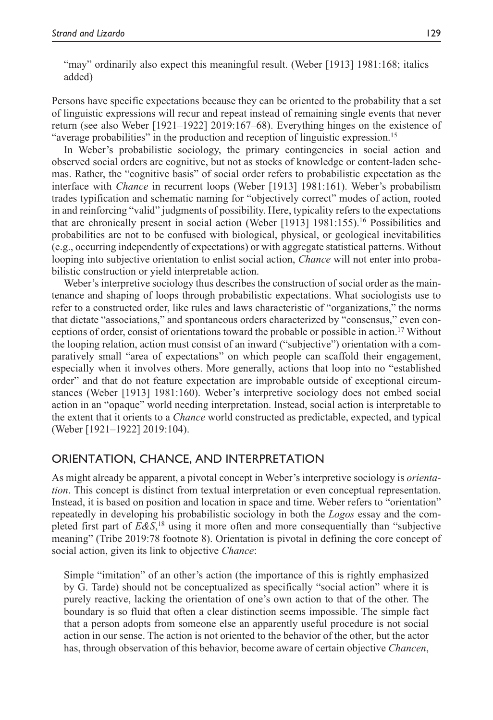"may" ordinarily also expect this meaningful result. (Weber [1913] 1981:168; italics added)

Persons have specific expectations because they can be oriented to the probability that a set of linguistic expressions will recur and repeat instead of remaining single events that never return (see also Weber [1921–1922] 2019:167–68). Everything hinges on the existence of "average probabilities" in the production and reception of linguistic expression.<sup>15</sup>

In Weber's probabilistic sociology, the primary contingencies in social action and observed social orders are cognitive, but not as stocks of knowledge or content-laden schemas. Rather, the "cognitive basis" of social order refers to probabilistic expectation as the interface with *Chance* in recurrent loops (Weber [1913] 1981:161). Weber's probabilism trades typification and schematic naming for "objectively correct" modes of action, rooted in and reinforcing "valid" judgments of possibility. Here, typicality refers to the expectations that are chronically present in social action (Weber [1913] 1981:155).<sup>16</sup> Possibilities and probabilities are not to be confused with biological, physical, or geological inevitabilities (e.g., occurring independently of expectations) or with aggregate statistical patterns. Without looping into subjective orientation to enlist social action, *Chance* will not enter into probabilistic construction or yield interpretable action.

Weber's interpretive sociology thus describes the construction of social order as the maintenance and shaping of loops through probabilistic expectations. What sociologists use to refer to a constructed order, like rules and laws characteristic of "organizations," the norms that dictate "associations," and spontaneous orders characterized by "consensus," even conceptions of order, consist of orientations toward the probable or possible in action.17 Without the looping relation, action must consist of an inward ("subjective") orientation with a comparatively small "area of expectations" on which people can scaffold their engagement, especially when it involves others. More generally, actions that loop into no "established order" and that do not feature expectation are improbable outside of exceptional circumstances (Weber [1913] 1981:160). Weber's interpretive sociology does not embed social action in an "opaque" world needing interpretation. Instead, social action is interpretable to the extent that it orients to a *Chance* world constructed as predictable, expected, and typical (Weber [1921–1922] 2019:104).

## Orientation, Chance, and Interpretation

As might already be apparent, a pivotal concept in Weber's interpretive sociology is *orientation*. This concept is distinct from textual interpretation or even conceptual representation. Instead, it is based on position and location in space and time. Weber refers to "orientation" repeatedly in developing his probabilistic sociology in both the *Logos* essay and the completed first part of *E&S*, 18 using it more often and more consequentially than "subjective meaning" (Tribe 2019:78 footnote 8). Orientation is pivotal in defining the core concept of social action, given its link to objective *Chance*:

Simple "imitation" of an other's action (the importance of this is rightly emphasized by G. Tarde) should not be conceptualized as specifically "social action" where it is purely reactive, lacking the orientation of one's own action to that of the other. The boundary is so fluid that often a clear distinction seems impossible. The simple fact that a person adopts from someone else an apparently useful procedure is not social action in our sense. The action is not oriented to the behavior of the other, but the actor has, through observation of this behavior, become aware of certain objective *Chancen*,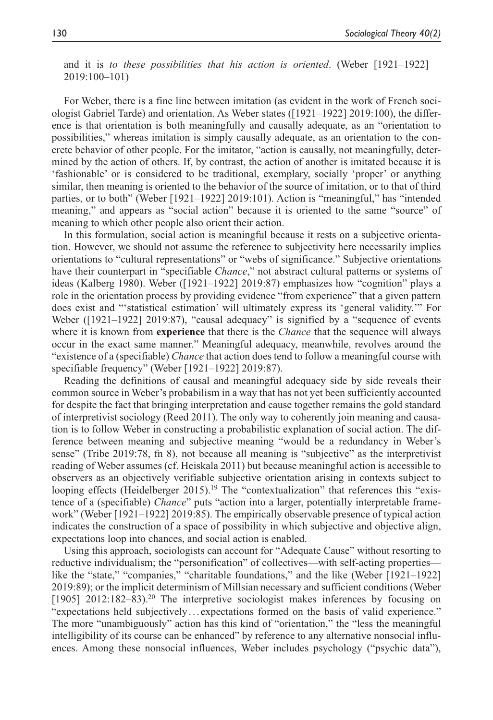and it is *to these possibilities that his action is oriented*. (Weber [1921–1922] 2019:100–101)

For Weber, there is a fine line between imitation (as evident in the work of French sociologist Gabriel Tarde) and orientation. As Weber states ([1921–1922] 2019:100), the difference is that orientation is both meaningfully and causally adequate, as an "orientation to possibilities," whereas imitation is simply causally adequate, as an orientation to the concrete behavior of other people. For the imitator, "action is causally, not meaningfully, determined by the action of others. If, by contrast, the action of another is imitated because it is 'fashionable' or is considered to be traditional, exemplary, socially 'proper' or anything similar, then meaning is oriented to the behavior of the source of imitation, or to that of third parties, or to both" (Weber [1921–1922] 2019:101). Action is "meaningful," has "intended meaning," and appears as "social action" because it is oriented to the same "source" of meaning to which other people also orient their action.

In this formulation, social action is meaningful because it rests on a subjective orientation. However, we should not assume the reference to subjectivity here necessarily implies orientations to "cultural representations" or "webs of significance." Subjective orientations have their counterpart in "specifiable *Chance*," not abstract cultural patterns or systems of ideas (Kalberg 1980). Weber ([1921–1922] 2019:87) emphasizes how "cognition" plays a role in the orientation process by providing evidence "from experience" that a given pattern does exist and "'statistical estimation' will ultimately express its 'general validity.'" For Weber ([1921–1922] 2019:87), "causal adequacy" is signified by a "sequence of events where it is known from **experience** that there is the *Chance* that the sequence will always occur in the exact same manner." Meaningful adequacy, meanwhile, revolves around the "existence of a (specifiable) *Chance* that action does tend to follow a meaningful course with specifiable frequency" (Weber [1921–1922] 2019:87).

Reading the definitions of causal and meaningful adequacy side by side reveals their common source in Weber's probabilism in a way that has not yet been sufficiently accounted for despite the fact that bringing interpretation and cause together remains the gold standard of interpretivist sociology (Reed 2011). The only way to coherently join meaning and causation is to follow Weber in constructing a probabilistic explanation of social action. The difference between meaning and subjective meaning "would be a redundancy in Weber's sense" (Tribe 2019:78, fn 8), not because all meaning is "subjective" as the interpretivist reading of Weber assumes (cf. Heiskala 2011) but because meaningful action is accessible to observers as an objectively verifiable subjective orientation arising in contexts subject to looping effects (Heidelberger 2015).<sup>19</sup> The "contextualization" that references this "existence of a (specifiable) *Chance*" puts "action into a larger, potentially interpretable framework" (Weber [1921–1922] 2019:85). The empirically observable presence of typical action indicates the construction of a space of possibility in which subjective and objective align, expectations loop into chances, and social action is enabled.

Using this approach, sociologists can account for "Adequate Cause" without resorting to reductive individualism; the "personification" of collectives—with self-acting properties like the "state," "companies," "charitable foundations," and the like (Weber [1921–1922] 2019:89); or the implicit determinism of Millsian necessary and sufficient conditions (Weber [1905] 2012:182-83).<sup>20</sup> The interpretive sociologist makes inferences by focusing on "expectations held subjectively . . . expectations formed on the basis of valid experience." The more "unambiguously" action has this kind of "orientation," the "less the meaningful intelligibility of its course can be enhanced" by reference to any alternative nonsocial influences. Among these nonsocial influences, Weber includes psychology ("psychic data"),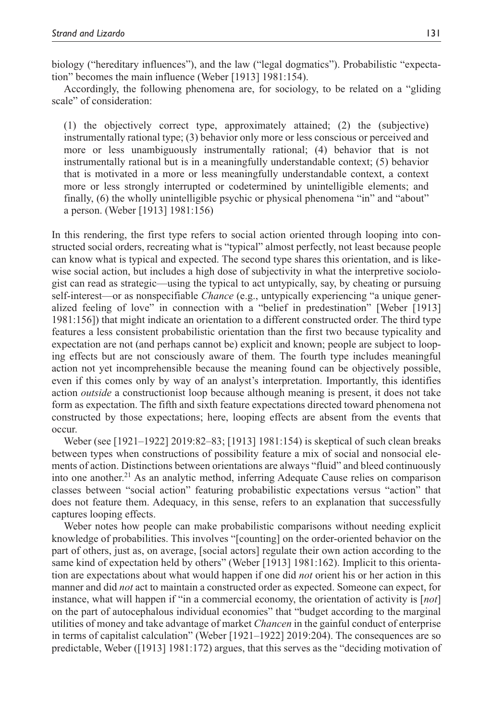biology ("hereditary influences"), and the law ("legal dogmatics"). Probabilistic "expectation" becomes the main influence (Weber [1913] 1981:154).

Accordingly, the following phenomena are, for sociology, to be related on a "gliding scale" of consideration:

(1) the objectively correct type, approximately attained; (2) the (subjective) instrumentally rational type; (3) behavior only more or less conscious or perceived and more or less unambiguously instrumentally rational; (4) behavior that is not instrumentally rational but is in a meaningfully understandable context; (5) behavior that is motivated in a more or less meaningfully understandable context, a context more or less strongly interrupted or codetermined by unintelligible elements; and finally, (6) the wholly unintelligible psychic or physical phenomena "in" and "about" a person. (Weber [1913] 1981:156)

In this rendering, the first type refers to social action oriented through looping into constructed social orders, recreating what is "typical" almost perfectly, not least because people can know what is typical and expected. The second type shares this orientation, and is likewise social action, but includes a high dose of subjectivity in what the interpretive sociologist can read as strategic—using the typical to act untypically, say, by cheating or pursuing self-interest—or as nonspecifiable *Chance* (e.g., untypically experiencing "a unique generalized feeling of love" in connection with a "belief in predestination" [Weber [1913] 1981:156]) that might indicate an orientation to a different constructed order. The third type features a less consistent probabilistic orientation than the first two because typicality and expectation are not (and perhaps cannot be) explicit and known; people are subject to looping effects but are not consciously aware of them. The fourth type includes meaningful action not yet incomprehensible because the meaning found can be objectively possible, even if this comes only by way of an analyst's interpretation. Importantly, this identifies action *outside* a constructionist loop because although meaning is present, it does not take form as expectation. The fifth and sixth feature expectations directed toward phenomena not constructed by those expectations; here, looping effects are absent from the events that occur.

Weber (see [1921–1922] 2019:82–83; [1913] 1981:154) is skeptical of such clean breaks between types when constructions of possibility feature a mix of social and nonsocial elements of action. Distinctions between orientations are always "fluid" and bleed continuously into one another. $2<sup>1</sup>$  As an analytic method, inferring Adequate Cause relies on comparison classes between "social action" featuring probabilistic expectations versus "action" that does not feature them. Adequacy, in this sense, refers to an explanation that successfully captures looping effects.

Weber notes how people can make probabilistic comparisons without needing explicit knowledge of probabilities. This involves "[counting] on the order-oriented behavior on the part of others, just as, on average, [social actors] regulate their own action according to the same kind of expectation held by others" (Weber [1913] 1981:162). Implicit to this orientation are expectations about what would happen if one did *not* orient his or her action in this manner and did *not* act to maintain a constructed order as expected. Someone can expect, for instance, what will happen if "in a commercial economy, the orientation of activity is [*not*] on the part of autocephalous individual economies" that "budget according to the marginal utilities of money and take advantage of market *Chancen* in the gainful conduct of enterprise in terms of capitalist calculation" (Weber [1921–1922] 2019:204). The consequences are so predictable, Weber ([1913] 1981:172) argues, that this serves as the "deciding motivation of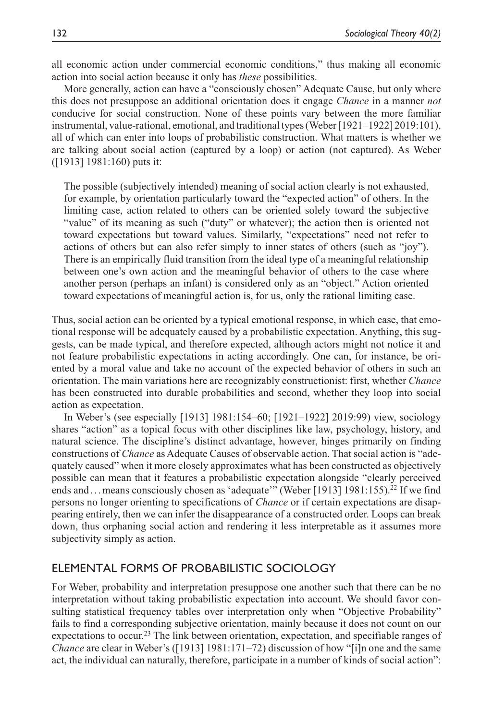all economic action under commercial economic conditions," thus making all economic action into social action because it only has *these* possibilities.

More generally, action can have a "consciously chosen" Adequate Cause, but only where this does not presuppose an additional orientation does it engage *Chance* in a manner *not* conducive for social construction. None of these points vary between the more familiar instrumental, value-rational, emotional, and traditional types (Weber [1921–1922] 2019:101), all of which can enter into loops of probabilistic construction. What matters is whether we are talking about social action (captured by a loop) or action (not captured). As Weber ([1913] 1981:160) puts it:

The possible (subjectively intended) meaning of social action clearly is not exhausted, for example, by orientation particularly toward the "expected action" of others. In the limiting case, action related to others can be oriented solely toward the subjective "value" of its meaning as such ("duty" or whatever); the action then is oriented not toward expectations but toward values. Similarly, "expectations" need not refer to actions of others but can also refer simply to inner states of others (such as "joy"). There is an empirically fluid transition from the ideal type of a meaningful relationship between one's own action and the meaningful behavior of others to the case where another person (perhaps an infant) is considered only as an "object." Action oriented toward expectations of meaningful action is, for us, only the rational limiting case.

Thus, social action can be oriented by a typical emotional response, in which case, that emotional response will be adequately caused by a probabilistic expectation. Anything, this suggests, can be made typical, and therefore expected, although actors might not notice it and not feature probabilistic expectations in acting accordingly. One can, for instance, be oriented by a moral value and take no account of the expected behavior of others in such an orientation. The main variations here are recognizably constructionist: first, whether *Chance* has been constructed into durable probabilities and second, whether they loop into social action as expectation.

In Weber's (see especially [1913] 1981:154–60; [1921–1922] 2019:99) view, sociology shares "action" as a topical focus with other disciplines like law, psychology, history, and natural science. The discipline's distinct advantage, however, hinges primarily on finding constructions of *Chance* as Adequate Causes of observable action. That social action is "adequately caused" when it more closely approximates what has been constructed as objectively possible can mean that it features a probabilistic expectation alongside "clearly perceived ends and ... means consciously chosen as 'adequate'" (Weber [1913] 1981:155).<sup>22</sup> If we find persons no longer orienting to specifications of *Chance* or if certain expectations are disappearing entirely, then we can infer the disappearance of a constructed order. Loops can break down, thus orphaning social action and rendering it less interpretable as it assumes more subjectivity simply as action.

## Elemental Forms of Probabilistic Sociology

For Weber, probability and interpretation presuppose one another such that there can be no interpretation without taking probabilistic expectation into account. We should favor consulting statistical frequency tables over interpretation only when "Objective Probability" fails to find a corresponding subjective orientation, mainly because it does not count on our expectations to occur.<sup>23</sup> The link between orientation, expectation, and specifiable ranges of *Chance* are clear in Weber's ([1913] 1981:171–72) discussion of how "[i]n one and the same act, the individual can naturally, therefore, participate in a number of kinds of social action":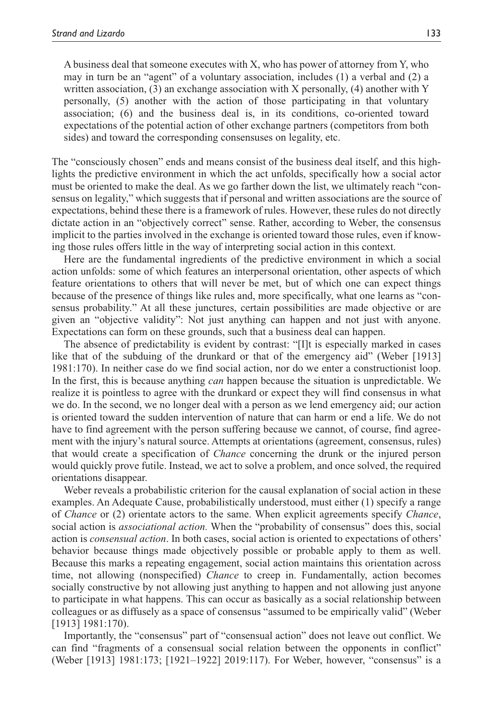A business deal that someone executes with X, who has power of attorney from Y, who may in turn be an "agent" of a voluntary association, includes (1) a verbal and (2) a written association,  $(3)$  an exchange association with X personally,  $(4)$  another with Y personally, (5) another with the action of those participating in that voluntary association; (6) and the business deal is, in its conditions, co-oriented toward expectations of the potential action of other exchange partners (competitors from both sides) and toward the corresponding consensuses on legality, etc.

The "consciously chosen" ends and means consist of the business deal itself, and this highlights the predictive environment in which the act unfolds, specifically how a social actor must be oriented to make the deal. As we go farther down the list, we ultimately reach "consensus on legality," which suggests that if personal and written associations are the source of expectations, behind these there is a framework of rules. However, these rules do not directly dictate action in an "objectively correct" sense. Rather, according to Weber, the consensus implicit to the parties involved in the exchange is oriented toward those rules, even if knowing those rules offers little in the way of interpreting social action in this context.

Here are the fundamental ingredients of the predictive environment in which a social action unfolds: some of which features an interpersonal orientation, other aspects of which feature orientations to others that will never be met, but of which one can expect things because of the presence of things like rules and, more specifically, what one learns as "consensus probability." At all these junctures, certain possibilities are made objective or are given an "objective validity": Not just anything can happen and not just with anyone. Expectations can form on these grounds, such that a business deal can happen.

The absence of predictability is evident by contrast: "[I]t is especially marked in cases like that of the subduing of the drunkard or that of the emergency aid" (Weber [1913] 1981:170). In neither case do we find social action, nor do we enter a constructionist loop. In the first, this is because anything *can* happen because the situation is unpredictable. We realize it is pointless to agree with the drunkard or expect they will find consensus in what we do. In the second, we no longer deal with a person as we lend emergency aid; our action is oriented toward the sudden intervention of nature that can harm or end a life. We do not have to find agreement with the person suffering because we cannot, of course, find agreement with the injury's natural source. Attempts at orientations (agreement, consensus, rules) that would create a specification of *Chance* concerning the drunk or the injured person would quickly prove futile. Instead, we act to solve a problem, and once solved, the required orientations disappear.

Weber reveals a probabilistic criterion for the causal explanation of social action in these examples. An Adequate Cause, probabilistically understood, must either (1) specify a range of *Chance* or (2) orientate actors to the same. When explicit agreements specify *Chance*, social action is *associational action.* When the "probability of consensus" does this, social action is *consensual action*. In both cases, social action is oriented to expectations of others' behavior because things made objectively possible or probable apply to them as well. Because this marks a repeating engagement, social action maintains this orientation across time, not allowing (nonspecified) *Chance* to creep in. Fundamentally, action becomes socially constructive by not allowing just anything to happen and not allowing just anyone to participate in what happens. This can occur as basically as a social relationship between colleagues or as diffusely as a space of consensus "assumed to be empirically valid" (Weber [1913] 1981:170).

Importantly, the "consensus" part of "consensual action" does not leave out conflict. We can find "fragments of a consensual social relation between the opponents in conflict" (Weber [1913] 1981:173; [1921–1922] 2019:117). For Weber, however, "consensus" is a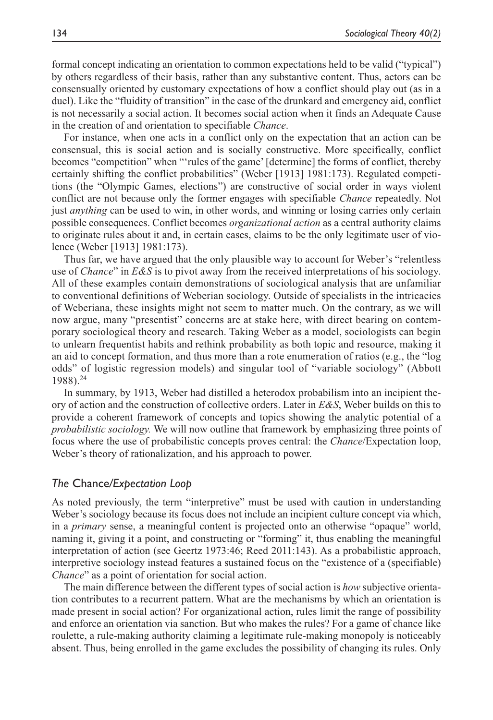formal concept indicating an orientation to common expectations held to be valid ("typical") by others regardless of their basis, rather than any substantive content. Thus, actors can be consensually oriented by customary expectations of how a conflict should play out (as in a duel). Like the "fluidity of transition" in the case of the drunkard and emergency aid, conflict is not necessarily a social action. It becomes social action when it finds an Adequate Cause in the creation of and orientation to specifiable *Chance*.

For instance, when one acts in a conflict only on the expectation that an action can be consensual, this is social action and is socially constructive. More specifically, conflict becomes "competition" when "'rules of the game' [determine] the forms of conflict, thereby certainly shifting the conflict probabilities" (Weber [1913] 1981:173). Regulated competitions (the "Olympic Games, elections") are constructive of social order in ways violent conflict are not because only the former engages with specifiable *Chance* repeatedly. Not just *anything* can be used to win, in other words, and winning or losing carries only certain possible consequences. Conflict becomes *organizational action* as a central authority claims to originate rules about it and, in certain cases, claims to be the only legitimate user of violence (Weber [1913] 1981:173).

Thus far, we have argued that the only plausible way to account for Weber's "relentless use of *Chance*" in *E&S* is to pivot away from the received interpretations of his sociology. All of these examples contain demonstrations of sociological analysis that are unfamiliar to conventional definitions of Weberian sociology. Outside of specialists in the intricacies of Weberiana, these insights might not seem to matter much. On the contrary, as we will now argue, many "presentist" concerns are at stake here, with direct bearing on contemporary sociological theory and research. Taking Weber as a model, sociologists can begin to unlearn frequentist habits and rethink probability as both topic and resource, making it an aid to concept formation, and thus more than a rote enumeration of ratios (e.g., the "log odds" of logistic regression models) and singular tool of "variable sociology" (Abbott 1988).24

In summary, by 1913, Weber had distilled a heterodox probabilism into an incipient theory of action and the construction of collective orders. Later in *E&S*, Weber builds on this to provide a coherent framework of concepts and topics showing the analytic potential of a *probabilistic sociology.* We will now outline that framework by emphasizing three points of focus where the use of probabilistic concepts proves central: the *Chance*/Expectation loop, Weber's theory of rationalization, and his approach to power.

#### *The* Chance*/Expectation Loop*

As noted previously, the term "interpretive" must be used with caution in understanding Weber's sociology because its focus does not include an incipient culture concept via which, in a *primary* sense, a meaningful content is projected onto an otherwise "opaque" world, naming it, giving it a point, and constructing or "forming" it, thus enabling the meaningful interpretation of action (see Geertz 1973:46; Reed 2011:143). As a probabilistic approach, interpretive sociology instead features a sustained focus on the "existence of a (specifiable) *Chance*" as a point of orientation for social action.

The main difference between the different types of social action is *how* subjective orientation contributes to a recurrent pattern. What are the mechanisms by which an orientation is made present in social action? For organizational action, rules limit the range of possibility and enforce an orientation via sanction. But who makes the rules? For a game of chance like roulette, a rule-making authority claiming a legitimate rule-making monopoly is noticeably absent. Thus, being enrolled in the game excludes the possibility of changing its rules. Only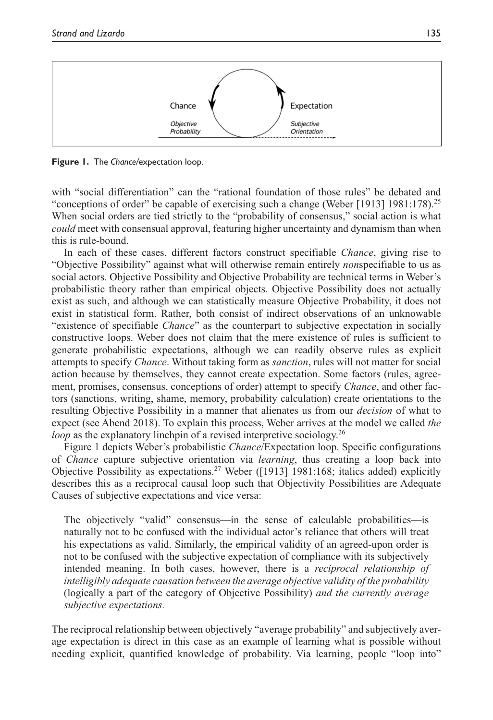

**Figure 1.** The *Chance/*expectation loop.

with "social differentiation" can the "rational foundation of those rules" be debated and "conceptions of order" be capable of exercising such a change (Weber [1913] 1981:178).<sup>25</sup> When social orders are tied strictly to the "probability of consensus," social action is what *could* meet with consensual approval, featuring higher uncertainty and dynamism than when this is rule-bound.

In each of these cases, different factors construct specifiable *Chance*, giving rise to "Objective Possibility" against what will otherwise remain entirely *non*specifiable to us as social actors. Objective Possibility and Objective Probability are technical terms in Weber's probabilistic theory rather than empirical objects. Objective Possibility does not actually exist as such, and although we can statistically measure Objective Probability, it does not exist in statistical form. Rather, both consist of indirect observations of an unknowable "existence of specifiable *Chance*" as the counterpart to subjective expectation in socially constructive loops. Weber does not claim that the mere existence of rules is sufficient to generate probabilistic expectations, although we can readily observe rules as explicit attempts to specify *Chance*. Without taking form as *sanction*, rules will not matter for social action because by themselves, they cannot create expectation. Some factors (rules, agreement, promises, consensus, conceptions of order) attempt to specify *Chance*, and other factors (sanctions, writing, shame, memory, probability calculation) create orientations to the resulting Objective Possibility in a manner that alienates us from our *decision* of what to expect (see Abend 2018). To explain this process, Weber arrives at the model we called *the loop* as the explanatory linchpin of a revised interpretive sociology.<sup>26</sup>

Figure 1 depicts Weber's probabilistic *Chance*/Expectation loop. Specific configurations of *Chance* capture subjective orientation via *learning*, thus creating a loop back into Objective Possibility as expectations.27 Weber ([1913] 1981:168; italics added) explicitly describes this as a reciprocal causal loop such that Objectivity Possibilities are Adequate Causes of subjective expectations and vice versa:

The objectively "valid" consensus—in the sense of calculable probabilities—is naturally not to be confused with the individual actor's reliance that others will treat his expectations as valid. Similarly, the empirical validity of an agreed-upon order is not to be confused with the subjective expectation of compliance with its subjectively intended meaning. In both cases, however, there is a *reciprocal relationship of intelligibly adequate causation between the average objective validity of the probability* (logically a part of the category of Objective Possibility) *and the currently average subjective expectations.*

The reciprocal relationship between objectively "average probability" and subjectively average expectation is direct in this case as an example of learning what is possible without needing explicit, quantified knowledge of probability. Via learning, people "loop into"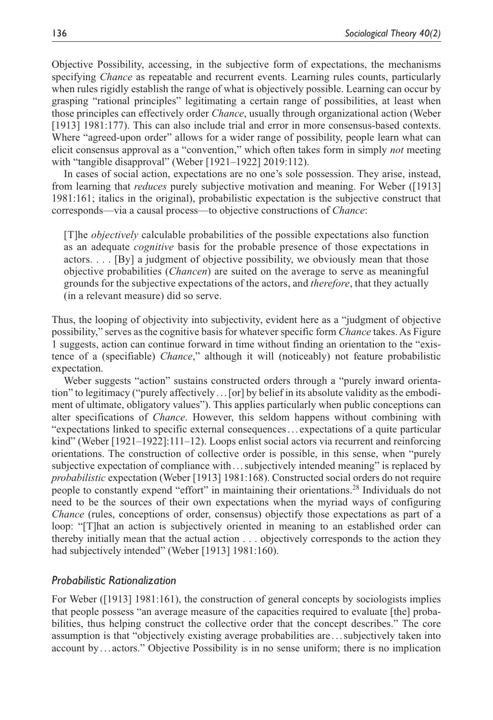Objective Possibility, accessing, in the subjective form of expectations, the mechanisms specifying *Chance* as repeatable and recurrent events. Learning rules counts, particularly when rules rigidly establish the range of what is objectively possible. Learning can occur by grasping "rational principles" legitimating a certain range of possibilities, at least when those principles can effectively order *Chance*, usually through organizational action (Weber [1913] 1981:177). This can also include trial and error in more consensus-based contexts. Where "agreed-upon order" allows for a wider range of possibility, people learn what can elicit consensus approval as a "convention," which often takes form in simply *not* meeting with "tangible disapproval" (Weber [1921–1922] 2019:112).

In cases of social action, expectations are no one's sole possession. They arise, instead, from learning that *reduces* purely subjective motivation and meaning. For Weber ([1913] 1981:161; italics in the original), probabilistic expectation is the subjective construct that corresponds—via a causal process—to objective constructions of *Chance*:

[T]he *objectively* calculable probabilities of the possible expectations also function as an adequate *cognitive* basis for the probable presence of those expectations in actors. . . . [By] a judgment of objective possibility, we obviously mean that those objective probabilities (*Chancen*) are suited on the average to serve as meaningful grounds for the subjective expectations of the actors, and *therefore*, that they actually (in a relevant measure) did so serve.

Thus, the looping of objectivity into subjectivity, evident here as a "judgment of objective possibility," serves as the cognitive basis for whatever specific form *Chance* takes. As Figure 1 suggests, action can continue forward in time without finding an orientation to the "existence of a (specifiable) *Chance*," although it will (noticeably) not feature probabilistic expectation.

Weber suggests "action" sustains constructed orders through a "purely inward orientation" to legitimacy ("purely affectively...[or] by belief in its absolute validity as the embodiment of ultimate, obligatory values"). This applies particularly when public conceptions can alter specifications of *Chance*. However, this seldom happens without combining with "expectations linked to specific external consequences... expectations of a quite particular kind" (Weber [1921–1922]:111–12). Loops enlist social actors via recurrent and reinforcing orientations. The construction of collective order is possible, in this sense, when "purely subjective expectation of compliance with ...subjectively intended meaning" is replaced by *probabilistic* expectation (Weber [1913] 1981:168). Constructed social orders do not require people to constantly expend "effort" in maintaining their orientations.28 Individuals do not need to be the sources of their own expectations when the myriad ways of configuring *Chance* (rules, conceptions of order, consensus) objectify those expectations as part of a loop: "[T]hat an action is subjectively oriented in meaning to an established order can thereby initially mean that the actual action . . . objectively corresponds to the action they had subjectively intended" (Weber [1913] 1981:160).

## *Probabilistic Rationalization*

For Weber ([1913] 1981:161), the construction of general concepts by sociologists implies that people possess "an average measure of the capacities required to evaluate [the] probabilities, thus helping construct the collective order that the concept describes." The core assumption is that "objectively existing average probabilities are . . .subjectively taken into account by . . . actors." Objective Possibility is in no sense uniform; there is no implication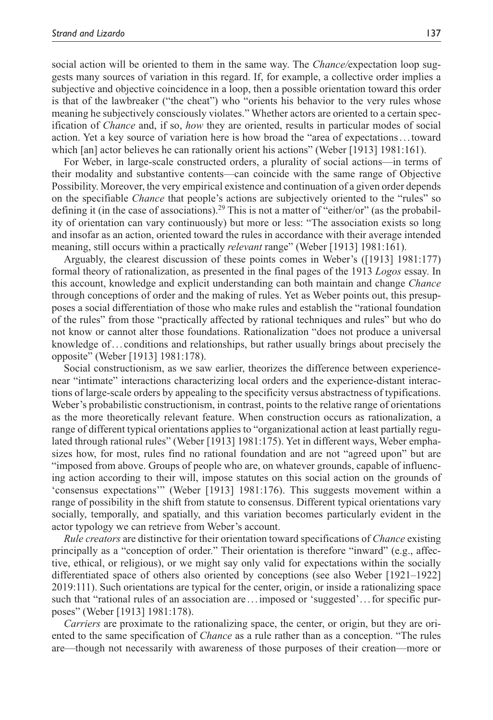social action will be oriented to them in the same way. The *Chance/*expectation loop suggests many sources of variation in this regard. If, for example, a collective order implies a subjective and objective coincidence in a loop, then a possible orientation toward this order is that of the lawbreaker ("the cheat") who "orients his behavior to the very rules whose meaning he subjectively consciously violates." Whether actors are oriented to a certain specification of *Chance* and, if so, *how* they are oriented, results in particular modes of social action. Yet a key source of variation here is how broad the "area of expectations. . .toward which [an] actor believes he can rationally orient his actions" (Weber [1913] 1981:161).

For Weber, in large-scale constructed orders, a plurality of social actions—in terms of their modality and substantive contents—can coincide with the same range of Objective Possibility. Moreover, the very empirical existence and continuation of a given order depends on the specifiable *Chance* that people's actions are subjectively oriented to the "rules" so defining it (in the case of associations).<sup>29</sup> This is not a matter of "either/or" (as the probability of orientation can vary continuously) but more or less: "The association exists so long and insofar as an action, oriented toward the rules in accordance with their average intended meaning, still occurs within a practically *relevant* range" (Weber [1913] 1981:161).

Arguably, the clearest discussion of these points comes in Weber's ([1913] 1981:177) formal theory of rationalization, as presented in the final pages of the 1913 *Logos* essay. In this account, knowledge and explicit understanding can both maintain and change *Chance* through conceptions of order and the making of rules. Yet as Weber points out, this presupposes a social differentiation of those who make rules and establish the "rational foundation of the rules" from those "practically affected by rational techniques and rules" but who do not know or cannot alter those foundations. Rationalization "does not produce a universal knowledge of... conditions and relationships, but rather usually brings about precisely the opposite" (Weber [1913] 1981:178).

Social constructionism, as we saw earlier, theorizes the difference between experiencenear "intimate" interactions characterizing local orders and the experience-distant interactions of large-scale orders by appealing to the specificity versus abstractness of typifications. Weber's probabilistic constructionism, in contrast, points to the relative range of orientations as the more theoretically relevant feature. When construction occurs as rationalization, a range of different typical orientations applies to "organizational action at least partially regulated through rational rules" (Weber [1913] 1981:175). Yet in different ways, Weber emphasizes how, for most, rules find no rational foundation and are not "agreed upon" but are "imposed from above. Groups of people who are, on whatever grounds, capable of influencing action according to their will, impose statutes on this social action on the grounds of 'consensus expectations'" (Weber [1913] 1981:176). This suggests movement within a range of possibility in the shift from statute to consensus. Different typical orientations vary socially, temporally, and spatially, and this variation becomes particularly evident in the actor typology we can retrieve from Weber's account.

*Rule creators* are distinctive for their orientation toward specifications of *Chance* existing principally as a "conception of order." Their orientation is therefore "inward" (e.g., affective, ethical, or religious), or we might say only valid for expectations within the socially differentiated space of others also oriented by conceptions (see also Weber [1921–1922] 2019:111). Such orientations are typical for the center, origin, or inside a rationalizing space such that "rational rules of an association are ... imposed or 'suggested'... for specific purposes" (Weber [1913] 1981:178).

*Carriers* are proximate to the rationalizing space, the center, or origin, but they are oriented to the same specification of *Chance* as a rule rather than as a conception. "The rules are—though not necessarily with awareness of those purposes of their creation—more or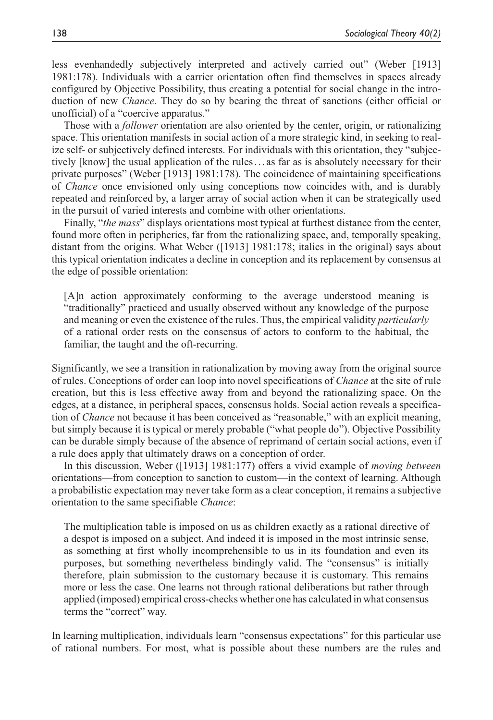less evenhandedly subjectively interpreted and actively carried out" (Weber [1913] 1981:178). Individuals with a carrier orientation often find themselves in spaces already configured by Objective Possibility, thus creating a potential for social change in the introduction of new *Chance*. They do so by bearing the threat of sanctions (either official or unofficial) of a "coercive apparatus."

Those with a *follower* orientation are also oriented by the center, origin, or rationalizing space. This orientation manifests in social action of a more strategic kind, in seeking to realize self- or subjectively defined interests. For individuals with this orientation, they "subjectively [know] the usual application of the rules... as far as is absolutely necessary for their private purposes" (Weber [1913] 1981:178). The coincidence of maintaining specifications of *Chance* once envisioned only using conceptions now coincides with, and is durably repeated and reinforced by, a larger array of social action when it can be strategically used in the pursuit of varied interests and combine with other orientations.

Finally, "*the mass*" displays orientations most typical at furthest distance from the center, found more often in peripheries, far from the rationalizing space, and, temporally speaking, distant from the origins. What Weber ([1913] 1981:178; italics in the original) says about this typical orientation indicates a decline in conception and its replacement by consensus at the edge of possible orientation:

[A]n action approximately conforming to the average understood meaning is "traditionally" practiced and usually observed without any knowledge of the purpose and meaning or even the existence of the rules. Thus, the empirical validity *particularly* of a rational order rests on the consensus of actors to conform to the habitual, the familiar, the taught and the oft-recurring.

Significantly, we see a transition in rationalization by moving away from the original source of rules. Conceptions of order can loop into novel specifications of *Chance* at the site of rule creation, but this is less effective away from and beyond the rationalizing space. On the edges, at a distance, in peripheral spaces, consensus holds. Social action reveals a specification of *Chance* not because it has been conceived as "reasonable," with an explicit meaning, but simply because it is typical or merely probable ("what people do"). Objective Possibility can be durable simply because of the absence of reprimand of certain social actions, even if a rule does apply that ultimately draws on a conception of order.

In this discussion, Weber ([1913] 1981:177) offers a vivid example of *moving between* orientations—from conception to sanction to custom—in the context of learning. Although a probabilistic expectation may never take form as a clear conception, it remains a subjective orientation to the same specifiable *Chance*:

The multiplication table is imposed on us as children exactly as a rational directive of a despot is imposed on a subject. And indeed it is imposed in the most intrinsic sense, as something at first wholly incomprehensible to us in its foundation and even its purposes, but something nevertheless bindingly valid. The "consensus" is initially therefore, plain submission to the customary because it is customary. This remains more or less the case. One learns not through rational deliberations but rather through applied (imposed) empirical cross-checks whether one has calculated in what consensus terms the "correct" way.

In learning multiplication, individuals learn "consensus expectations" for this particular use of rational numbers. For most, what is possible about these numbers are the rules and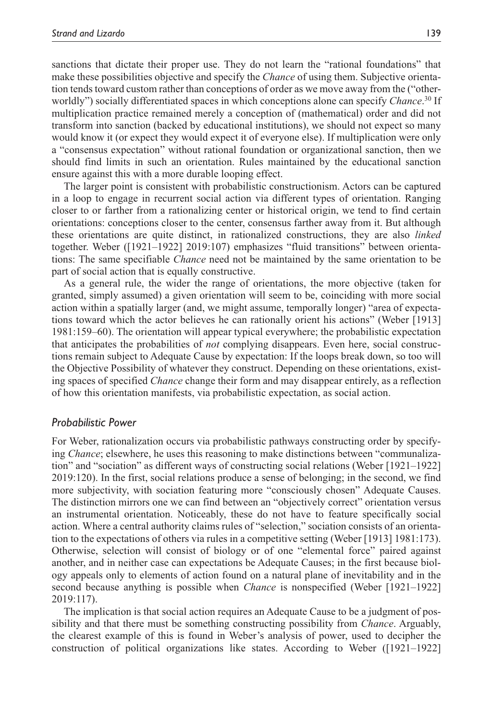sanctions that dictate their proper use. They do not learn the "rational foundations" that make these possibilities objective and specify the *Chance* of using them. Subjective orientation tends toward custom rather than conceptions of order as we move away from the ("otherworldly") socially differentiated spaces in which conceptions alone can specify *Chance*. 30 If multiplication practice remained merely a conception of (mathematical) order and did not transform into sanction (backed by educational institutions), we should not expect so many would know it (or expect they would expect it of everyone else). If multiplication were only a "consensus expectation" without rational foundation or organizational sanction, then we should find limits in such an orientation. Rules maintained by the educational sanction ensure against this with a more durable looping effect.

The larger point is consistent with probabilistic constructionism. Actors can be captured in a loop to engage in recurrent social action via different types of orientation. Ranging closer to or farther from a rationalizing center or historical origin, we tend to find certain orientations: conceptions closer to the center, consensus farther away from it. But although these orientations are quite distinct, in rationalized constructions, they are also *linked* together. Weber ([1921–1922] 2019:107) emphasizes "fluid transitions" between orientations: The same specifiable *Chance* need not be maintained by the same orientation to be part of social action that is equally constructive.

As a general rule, the wider the range of orientations, the more objective (taken for granted, simply assumed) a given orientation will seem to be, coinciding with more social action within a spatially larger (and, we might assume, temporally longer) "area of expectations toward which the actor believes he can rationally orient his actions" (Weber [1913] 1981:159–60). The orientation will appear typical everywhere; the probabilistic expectation that anticipates the probabilities of *not* complying disappears. Even here, social constructions remain subject to Adequate Cause by expectation: If the loops break down, so too will the Objective Possibility of whatever they construct. Depending on these orientations, existing spaces of specified *Chance* change their form and may disappear entirely, as a reflection of how this orientation manifests, via probabilistic expectation, as social action.

## *Probabilistic Power*

For Weber, rationalization occurs via probabilistic pathways constructing order by specifying *Chance*; elsewhere, he uses this reasoning to make distinctions between "communalization" and "sociation" as different ways of constructing social relations (Weber [1921–1922] 2019:120). In the first, social relations produce a sense of belonging; in the second, we find more subjectivity, with sociation featuring more "consciously chosen" Adequate Causes. The distinction mirrors one we can find between an "objectively correct" orientation versus an instrumental orientation. Noticeably, these do not have to feature specifically social action. Where a central authority claims rules of "selection," sociation consists of an orientation to the expectations of others via rules in a competitive setting (Weber [1913] 1981:173). Otherwise, selection will consist of biology or of one "elemental force" paired against another, and in neither case can expectations be Adequate Causes; in the first because biology appeals only to elements of action found on a natural plane of inevitability and in the second because anything is possible when *Chance* is nonspecified (Weber [1921–1922] 2019:117).

The implication is that social action requires an Adequate Cause to be a judgment of possibility and that there must be something constructing possibility from *Chance*. Arguably, the clearest example of this is found in Weber's analysis of power, used to decipher the construction of political organizations like states. According to Weber ([1921–1922]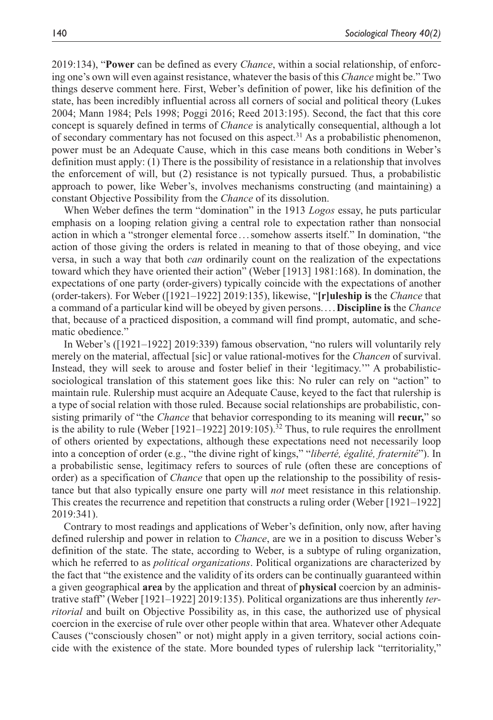2019:134), "**Power** can be defined as every *Chance*, within a social relationship, of enforcing one's own will even against resistance, whatever the basis of this *Chance* might be." Two things deserve comment here. First, Weber's definition of power, like his definition of the state, has been incredibly influential across all corners of social and political theory (Lukes 2004; Mann 1984; Pels 1998; Poggi 2016; Reed 2013:195). Second, the fact that this core concept is squarely defined in terms of *Chance* is analytically consequential, although a lot of secondary commentary has not focused on this aspect.<sup>31</sup> As a probabilistic phenomenon, power must be an Adequate Cause, which in this case means both conditions in Weber's definition must apply: (1) There is the possibility of resistance in a relationship that involves the enforcement of will, but (2) resistance is not typically pursued. Thus, a probabilistic approach to power, like Weber's, involves mechanisms constructing (and maintaining) a constant Objective Possibility from the *Chance* of its dissolution.

When Weber defines the term "domination" in the 1913 *Logos* essay, he puts particular emphasis on a looping relation giving a central role to expectation rather than nonsocial action in which a "stronger elemental force ...somehow asserts itself." In domination, "the action of those giving the orders is related in meaning to that of those obeying, and vice versa, in such a way that both *can* ordinarily count on the realization of the expectations toward which they have oriented their action" (Weber [1913] 1981:168). In domination, the expectations of one party (order-givers) typically coincide with the expectations of another (order-takers). For Weber ([1921–1922] 2019:135), likewise, "**[r]uleship is** the *Chance* that a command of a particular kind will be obeyed by given persons....**Discipline is** the *Chance* that, because of a practiced disposition, a command will find prompt, automatic, and schematic obedience."

In Weber's ([1921–1922] 2019:339) famous observation, "no rulers will voluntarily rely merely on the material, affectual [sic] or value rational-motives for the *Chancen* of survival. Instead, they will seek to arouse and foster belief in their 'legitimacy.'" A probabilisticsociological translation of this statement goes like this: No ruler can rely on "action" to maintain rule. Rulership must acquire an Adequate Cause, keyed to the fact that rulership is a type of social relation with those ruled. Because social relationships are probabilistic, consisting primarily of "the *Chance* that behavior corresponding to its meaning will **recur,**" so is the ability to rule (Weber [1921–1922] 2019:105).<sup>32</sup> Thus, to rule requires the enrollment of others oriented by expectations, although these expectations need not necessarily loop into a conception of order (e.g., "the divine right of kings," "*liberté, égalité, fraternité*"). In a probabilistic sense, legitimacy refers to sources of rule (often these are conceptions of order) as a specification of *Chance* that open up the relationship to the possibility of resistance but that also typically ensure one party will *not* meet resistance in this relationship. This creates the recurrence and repetition that constructs a ruling order (Weber [1921–1922] 2019:341).

Contrary to most readings and applications of Weber's definition, only now, after having defined rulership and power in relation to *Chance*, are we in a position to discuss Weber's definition of the state. The state, according to Weber, is a subtype of ruling organization, which he referred to as *political organizations*. Political organizations are characterized by the fact that "the existence and the validity of its orders can be continually guaranteed within a given geographical **area** by the application and threat of **physical** coercion by an administrative staff" (Weber [1921–1922] 2019:135). Political organizations are thus inherently *territorial* and built on Objective Possibility as, in this case, the authorized use of physical coercion in the exercise of rule over other people within that area. Whatever other Adequate Causes ("consciously chosen" or not) might apply in a given territory, social actions coincide with the existence of the state. More bounded types of rulership lack "territoriality,"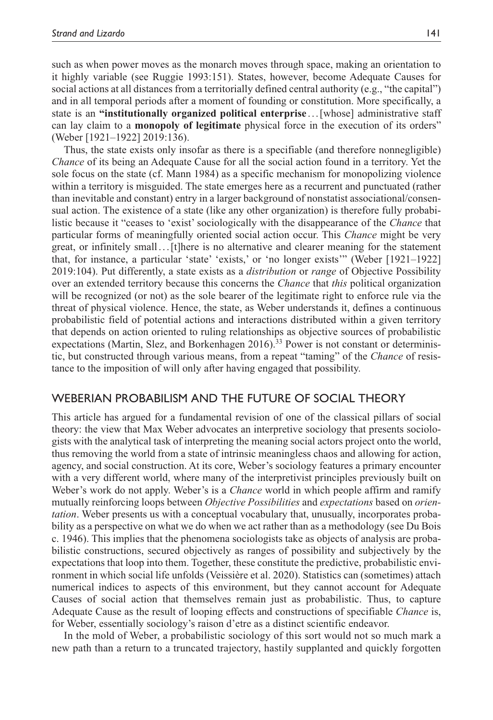such as when power moves as the monarch moves through space, making an orientation to it highly variable (see Ruggie 1993:151). States, however, become Adequate Causes for social actions at all distances from a territorially defined central authority (e.g., "the capital") and in all temporal periods after a moment of founding or constitution. More specifically, a state is an **"institutionally organized political enterprise** . . .[whose] administrative staff can lay claim to a **monopoly of legitimate** physical force in the execution of its orders" (Weber [1921–1922] 2019:136).

Thus, the state exists only insofar as there is a specifiable (and therefore nonnegligible) *Chance* of its being an Adequate Cause for all the social action found in a territory. Yet the sole focus on the state (cf. Mann 1984) as a specific mechanism for monopolizing violence within a territory is misguided. The state emerges here as a recurrent and punctuated (rather than inevitable and constant) entry in a larger background of nonstatist associational/consensual action. The existence of a state (like any other organization) is therefore fully probabilistic because it "ceases to 'exist' sociologically with the disappearance of the *Chance* that particular forms of meaningfully oriented social action occur. This *Chance* might be very great, or infinitely small...[t]here is no alternative and clearer meaning for the statement that, for instance, a particular 'state' 'exists,' or 'no longer exists'" (Weber [1921–1922] 2019:104). Put differently, a state exists as a *distribution* or *range* of Objective Possibility over an extended territory because this concerns the *Chance* that *this* political organization will be recognized (or not) as the sole bearer of the legitimate right to enforce rule via the threat of physical violence. Hence, the state, as Weber understands it, defines a continuous probabilistic field of potential actions and interactions distributed within a given territory that depends on action oriented to ruling relationships as objective sources of probabilistic expectations (Martin, Slez, and Borkenhagen 2016).<sup>33</sup> Power is not constant or deterministic, but constructed through various means, from a repeat "taming" of the *Chance* of resistance to the imposition of will only after having engaged that possibility.

# Weberian Probabilism and the Future of Social Theory

This article has argued for a fundamental revision of one of the classical pillars of social theory: the view that Max Weber advocates an interpretive sociology that presents sociologists with the analytical task of interpreting the meaning social actors project onto the world, thus removing the world from a state of intrinsic meaningless chaos and allowing for action, agency, and social construction. At its core, Weber's sociology features a primary encounter with a very different world, where many of the interpretivist principles previously built on Weber's work do not apply. Weber's is a *Chance* world in which people affirm and ramify mutually reinforcing loops between *Objective Possibilities* and *expectations* based on *orientation*. Weber presents us with a conceptual vocabulary that, unusually, incorporates probability as a perspective on what we do when we act rather than as a methodology (see Du Bois c. 1946). This implies that the phenomena sociologists take as objects of analysis are probabilistic constructions, secured objectively as ranges of possibility and subjectively by the expectations that loop into them. Together, these constitute the predictive, probabilistic environment in which social life unfolds (Veissière et al. 2020). Statistics can (sometimes) attach numerical indices to aspects of this environment, but they cannot account for Adequate Causes of social action that themselves remain just as probabilistic. Thus, to capture Adequate Cause as the result of looping effects and constructions of specifiable *Chance* is, for Weber, essentially sociology's raison d'etre as a distinct scientific endeavor.

In the mold of Weber, a probabilistic sociology of this sort would not so much mark a new path than a return to a truncated trajectory, hastily supplanted and quickly forgotten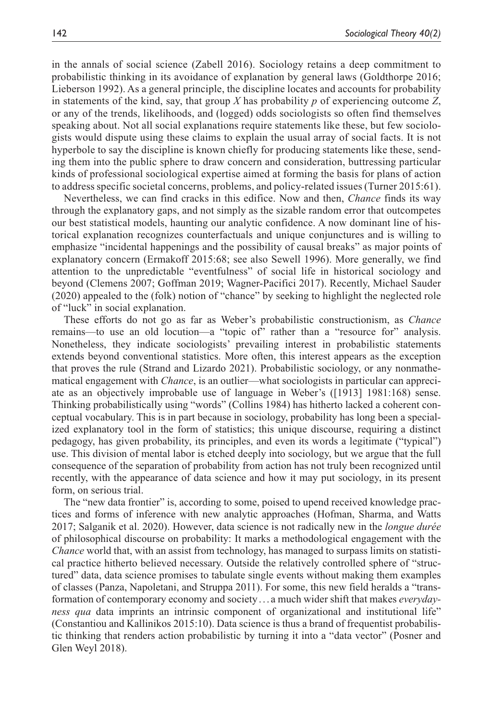in the annals of social science (Zabell 2016). Sociology retains a deep commitment to probabilistic thinking in its avoidance of explanation by general laws (Goldthorpe 2016; Lieberson 1992). As a general principle, the discipline locates and accounts for probability in statements of the kind, say, that group *X* has probability *p* of experiencing outcome *Z*, or any of the trends, likelihoods, and (logged) odds sociologists so often find themselves speaking about. Not all social explanations require statements like these, but few sociologists would dispute using these claims to explain the usual array of social facts. It is not hyperbole to say the discipline is known chiefly for producing statements like these, sending them into the public sphere to draw concern and consideration, buttressing particular kinds of professional sociological expertise aimed at forming the basis for plans of action to address specific societal concerns, problems, and policy-related issues (Turner 2015:61).

Nevertheless, we can find cracks in this edifice. Now and then, *Chance* finds its way through the explanatory gaps, and not simply as the sizable random error that outcompetes our best statistical models, haunting our analytic confidence. A now dominant line of historical explanation recognizes counterfactuals and unique conjunctures and is willing to emphasize "incidental happenings and the possibility of causal breaks" as major points of explanatory concern (Ermakoff 2015:68; see also Sewell 1996). More generally, we find attention to the unpredictable "eventfulness" of social life in historical sociology and beyond (Clemens 2007; Goffman 2019; Wagner-Pacifici 2017). Recently, Michael Sauder (2020) appealed to the (folk) notion of "chance" by seeking to highlight the neglected role of "luck" in social explanation.

These efforts do not go as far as Weber's probabilistic constructionism, as *Chance* remains—to use an old locution—a "topic of" rather than a "resource for" analysis. Nonetheless, they indicate sociologists' prevailing interest in probabilistic statements extends beyond conventional statistics. More often, this interest appears as the exception that proves the rule (Strand and Lizardo 2021). Probabilistic sociology, or any nonmathematical engagement with *Chance*, is an outlier—what sociologists in particular can appreciate as an objectively improbable use of language in Weber's ([1913] 1981:168) sense. Thinking probabilistically using "words" (Collins 1984) has hitherto lacked a coherent conceptual vocabulary. This is in part because in sociology, probability has long been a specialized explanatory tool in the form of statistics; this unique discourse, requiring a distinct pedagogy, has given probability, its principles, and even its words a legitimate ("typical") use. This division of mental labor is etched deeply into sociology, but we argue that the full consequence of the separation of probability from action has not truly been recognized until recently, with the appearance of data science and how it may put sociology, in its present form, on serious trial.

The "new data frontier" is, according to some, poised to upend received knowledge practices and forms of inference with new analytic approaches (Hofman, Sharma, and Watts 2017; Salganik et al. 2020). However, data science is not radically new in the *longue durée* of philosophical discourse on probability: It marks a methodological engagement with the *Chance* world that, with an assist from technology, has managed to surpass limits on statistical practice hitherto believed necessary. Outside the relatively controlled sphere of "structured" data, data science promises to tabulate single events without making them examples of classes (Panza, Napoletani, and Struppa 2011). For some, this new field heralds a "transformation of contemporary economy and society... a much wider shift that makes *everydayness qua* data imprints an intrinsic component of organizational and institutional life" (Constantiou and Kallinikos 2015:10). Data science is thus a brand of frequentist probabilistic thinking that renders action probabilistic by turning it into a "data vector" (Posner and Glen Weyl 2018).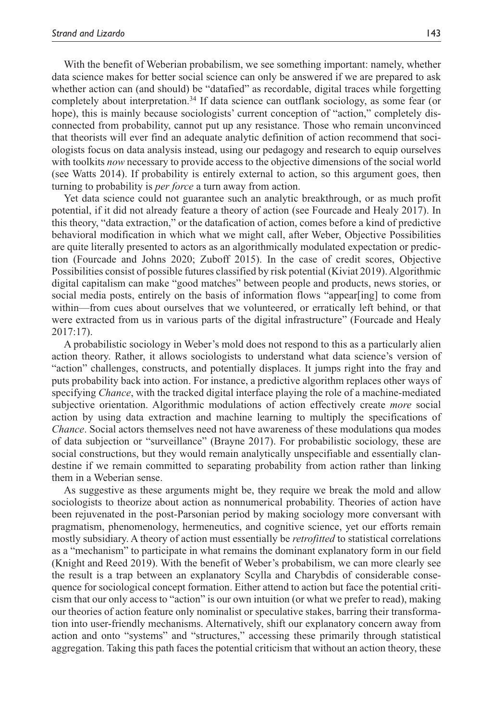With the benefit of Weberian probabilism, we see something important: namely, whether data science makes for better social science can only be answered if we are prepared to ask whether action can (and should) be "datafied" as recordable, digital traces while forgetting completely about interpretation.34 If data science can outflank sociology, as some fear (or hope), this is mainly because sociologists' current conception of "action," completely disconnected from probability, cannot put up any resistance. Those who remain unconvinced that theorists will ever find an adequate analytic definition of action recommend that sociologists focus on data analysis instead, using our pedagogy and research to equip ourselves with toolkits *now* necessary to provide access to the objective dimensions of the social world (see Watts 2014). If probability is entirely external to action, so this argument goes, then turning to probability is *per force* a turn away from action.

Yet data science could not guarantee such an analytic breakthrough, or as much profit potential, if it did not already feature a theory of action (see Fourcade and Healy 2017). In this theory, "data extraction," or the datafication of action, comes before a kind of predictive behavioral modification in which what we might call, after Weber, Objective Possibilities are quite literally presented to actors as an algorithmically modulated expectation or prediction (Fourcade and Johns 2020; Zuboff 2015). In the case of credit scores, Objective Possibilities consist of possible futures classified by risk potential (Kiviat 2019). Algorithmic digital capitalism can make "good matches" between people and products, news stories, or social media posts, entirely on the basis of information flows "appear[ing] to come from within—from cues about ourselves that we volunteered, or erratically left behind, or that were extracted from us in various parts of the digital infrastructure" (Fourcade and Healy 2017:17).

A probabilistic sociology in Weber's mold does not respond to this as a particularly alien action theory. Rather, it allows sociologists to understand what data science's version of "action" challenges, constructs, and potentially displaces. It jumps right into the fray and puts probability back into action. For instance, a predictive algorithm replaces other ways of specifying *Chance*, with the tracked digital interface playing the role of a machine-mediated subjective orientation. Algorithmic modulations of action effectively create *more* social action by using data extraction and machine learning to multiply the specifications of *Chance*. Social actors themselves need not have awareness of these modulations qua modes of data subjection or "surveillance" (Brayne 2017). For probabilistic sociology, these are social constructions, but they would remain analytically unspecifiable and essentially clandestine if we remain committed to separating probability from action rather than linking them in a Weberian sense.

As suggestive as these arguments might be, they require we break the mold and allow sociologists to theorize about action as nonnumerical probability. Theories of action have been rejuvenated in the post-Parsonian period by making sociology more conversant with pragmatism, phenomenology, hermeneutics, and cognitive science, yet our efforts remain mostly subsidiary. A theory of action must essentially be *retrofitted* to statistical correlations as a "mechanism" to participate in what remains the dominant explanatory form in our field (Knight and Reed 2019). With the benefit of Weber's probabilism, we can more clearly see the result is a trap between an explanatory Scylla and Charybdis of considerable consequence for sociological concept formation. Either attend to action but face the potential criticism that our only access to "action" is our own intuition (or what we prefer to read), making our theories of action feature only nominalist or speculative stakes, barring their transformation into user-friendly mechanisms. Alternatively, shift our explanatory concern away from action and onto "systems" and "structures," accessing these primarily through statistical aggregation. Taking this path faces the potential criticism that without an action theory, these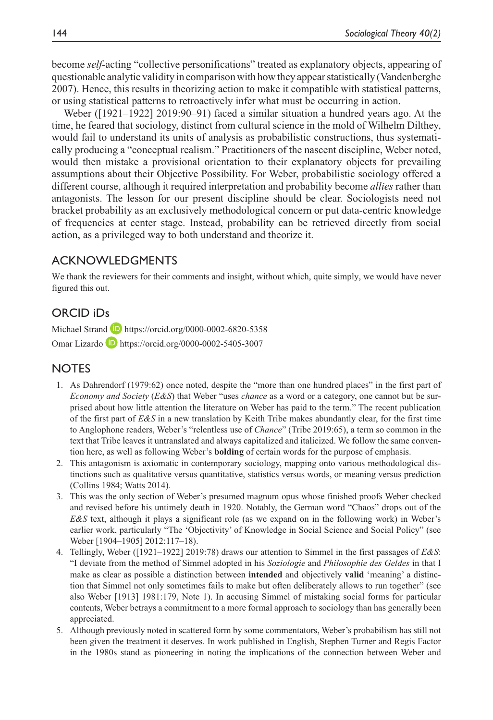become *self-*acting "collective personifications" treated as explanatory objects, appearing of questionable analytic validity in comparison with how they appear statistically (Vandenberghe 2007). Hence, this results in theorizing action to make it compatible with statistical patterns, or using statistical patterns to retroactively infer what must be occurring in action.

Weber ([1921–1922] 2019:90–91) faced a similar situation a hundred years ago. At the time, he feared that sociology, distinct from cultural science in the mold of Wilhelm Dilthey, would fail to understand its units of analysis as probabilistic constructions, thus systematically producing a "conceptual realism." Practitioners of the nascent discipline, Weber noted, would then mistake a provisional orientation to their explanatory objects for prevailing assumptions about their Objective Possibility. For Weber, probabilistic sociology offered a different course, although it required interpretation and probability become *allies* rather than antagonists. The lesson for our present discipline should be clear. Sociologists need not bracket probability as an exclusively methodological concern or put data-centric knowledge of frequencies at center stage. Instead, probability can be retrieved directly from social action, as a privileged way to both understand and theorize it.

# **ACKNOWLEDGMENTS**

We thank the reviewers for their comments and insight, without which, quite simply, we would have never figured this out.

## ORCID iDs

Michael Strand D <https://orcid.org/0000-0002-6820-5358> Omar Lizardo **D** <https://orcid.org/0000-0002-5405-3007>

## **NOTES**

- 1. As Dahrendorf (1979:62) once noted, despite the "more than one hundred places" in the first part of *Economy and Society* (*E&S*) that Weber "uses *chance* as a word or a category, one cannot but be surprised about how little attention the literature on Weber has paid to the term." The recent publication of the first part of *E&S* in a new translation by Keith Tribe makes abundantly clear, for the first time to Anglophone readers, Weber's "relentless use of *Chance*" (Tribe 2019:65), a term so common in the text that Tribe leaves it untranslated and always capitalized and italicized. We follow the same convention here, as well as following Weber's **bolding** of certain words for the purpose of emphasis.
- 2. This antagonism is axiomatic in contemporary sociology, mapping onto various methodological distinctions such as qualitative versus quantitative, statistics versus words, or meaning versus prediction (Collins 1984; Watts 2014).
- 3. This was the only section of Weber's presumed magnum opus whose finished proofs Weber checked and revised before his untimely death in 1920. Notably, the German word "Chaos" drops out of the *E&S* text, although it plays a significant role (as we expand on in the following work) in Weber's earlier work, particularly "The 'Objectivity' of Knowledge in Social Science and Social Policy" (see Weber [1904–1905] 2012:117–18).
- 4. Tellingly, Weber ([1921–1922] 2019:78) draws our attention to Simmel in the first passages of *E&S*: "I deviate from the method of Simmel adopted in his *Soziologie* and *Philosophie des Geldes* in that I make as clear as possible a distinction between **intended** and objectively **valid** 'meaning' a distinction that Simmel not only sometimes fails to make but often deliberately allows to run together" (see also Weber [1913] 1981:179, Note 1). In accusing Simmel of mistaking social forms for particular contents, Weber betrays a commitment to a more formal approach to sociology than has generally been appreciated.
- 5. Although previously noted in scattered form by some commentators, Weber's probabilism has still not been given the treatment it deserves. In work published in English, Stephen Turner and Regis Factor in the 1980s stand as pioneering in noting the implications of the connection between Weber and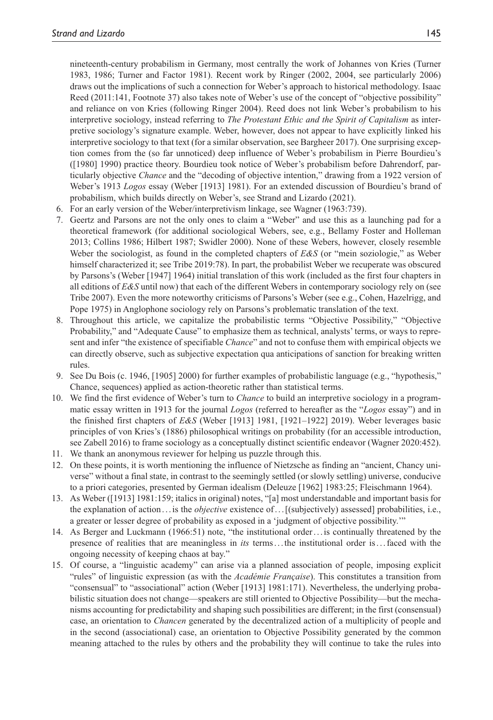nineteenth-century probabilism in Germany, most centrally the work of Johannes von Kries (Turner 1983, 1986; Turner and Factor 1981). Recent work by Ringer (2002, 2004, see particularly 2006) draws out the implications of such a connection for Weber's approach to historical methodology. Isaac Reed (2011:141, Footnote 37) also takes note of Weber's use of the concept of "objective possibility" and reliance on von Kries (following Ringer 2004). Reed does not link Weber's probabilism to his interpretive sociology, instead referring to *The Protestant Ethic and the Spirit of Capitalism* as interpretive sociology's signature example. Weber, however, does not appear to have explicitly linked his interpretive sociology to that text (for a similar observation, see Bargheer 2017). One surprising exception comes from the (so far unnoticed) deep influence of Weber's probabilism in Pierre Bourdieu's ([1980] 1990) practice theory. Bourdieu took notice of Weber's probabilism before Dahrendorf, particularly objective *Chance* and the "decoding of objective intention," drawing from a 1922 version of Weber's 1913 *Logos* essay (Weber [1913] 1981). For an extended discussion of Bourdieu's brand of probabilism, which builds directly on Weber's, see Strand and Lizardo (2021).

- 6. For an early version of the Weber/interpretivism linkage, see Wagner (1963:739).
- 7. Geertz and Parsons are not the only ones to claim a "Weber" and use this as a launching pad for a theoretical framework (for additional sociological Webers, see, e.g., Bellamy Foster and Holleman 2013; Collins 1986; Hilbert 1987; Swidler 2000). None of these Webers, however, closely resemble Weber the sociologist, as found in the completed chapters of *E&S* (or "mein soziologie," as Weber himself characterized it; see Tribe 2019:78). In part, the probabilist Weber we recuperate was obscured by Parsons's (Weber [1947] 1964) initial translation of this work (included as the first four chapters in all editions of *E&S* until now) that each of the different Webers in contemporary sociology rely on (see Tribe 2007). Even the more noteworthy criticisms of Parsons's Weber (see e.g., Cohen, Hazelrigg, and Pope 1975) in Anglophone sociology rely on Parsons's problematic translation of the text.
- 8. Throughout this article, we capitalize the probabilistic terms "Objective Possibility," "Objective Probability," and "Adequate Cause" to emphasize them as technical, analysts' terms, or ways to represent and infer "the existence of specifiable *Chance*" and not to confuse them with empirical objects we can directly observe, such as subjective expectation qua anticipations of sanction for breaking written rules.
- 9. See Du Bois (c. 1946, [1905] 2000) for further examples of probabilistic language (e.g., "hypothesis," Chance, sequences) applied as action-theoretic rather than statistical terms.
- 10. We find the first evidence of Weber's turn to *Chance* to build an interpretive sociology in a programmatic essay written in 1913 for the journal *Logos* (referred to hereafter as the "*Logos* essay") and in the finished first chapters of *E&S* (Weber [1913] 1981, [1921–1922] 2019). Weber leverages basic principles of von Kries's (1886) philosophical writings on probability (for an accessible introduction, see Zabell 2016) to frame sociology as a conceptually distinct scientific endeavor (Wagner 2020:452).
- 11. We thank an anonymous reviewer for helping us puzzle through this.
- 12. On these points, it is worth mentioning the influence of Nietzsche as finding an "ancient, Chancy universe" without a final state, in contrast to the seemingly settled (or slowly settling) universe, conducive to a priori categories, presented by German idealism (Deleuze [1962] 1983:25; Fleischmann 1964).
- 13. As Weber ([1913] 1981:159; italics in original) notes, "[a] most understandable and important basis for the explanation of action . . .is the *objective* existence of...[(subjectively) assessed] probabilities, i.e., a greater or lesser degree of probability as exposed in a 'judgment of objective possibility.'"
- 14. As Berger and Luckmann (1966:51) note, "the institutional order. . .is continually threatened by the presence of realities that are meaningless in *its* terms...the institutional order is...faced with the ongoing necessity of keeping chaos at bay."
- 15. Of course, a "linguistic academy" can arise via a planned association of people, imposing explicit "rules" of linguistic expression (as with the *Académie Française*). This constitutes a transition from "consensual" to "associational" action (Weber [1913] 1981:171). Nevertheless, the underlying probabilistic situation does not change—speakers are still oriented to Objective Possibility—but the mechanisms accounting for predictability and shaping such possibilities are different; in the first (consensual) case, an orientation to *Chancen* generated by the decentralized action of a multiplicity of people and in the second (associational) case, an orientation to Objective Possibility generated by the common meaning attached to the rules by others and the probability they will continue to take the rules into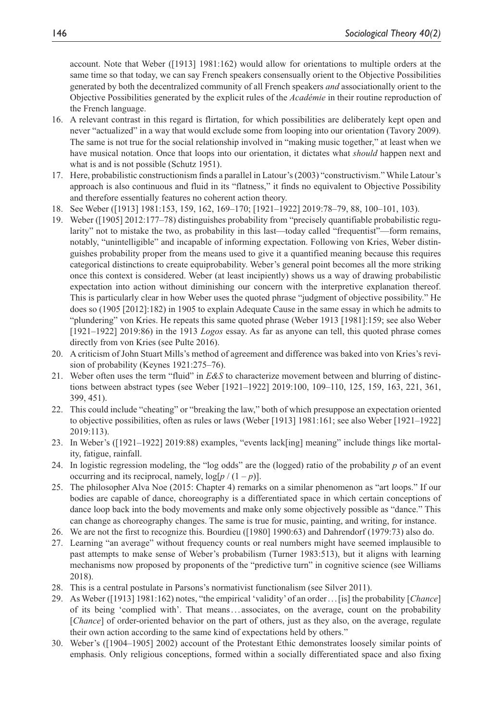account. Note that Weber ([1913] 1981:162) would allow for orientations to multiple orders at the same time so that today, we can say French speakers consensually orient to the Objective Possibilities generated by both the decentralized community of all French speakers *and* associationally orient to the Objective Possibilities generated by the explicit rules of the *Académie* in their routine reproduction of the French language.

- 16. A relevant contrast in this regard is flirtation, for which possibilities are deliberately kept open and never "actualized" in a way that would exclude some from looping into our orientation (Tavory 2009). The same is not true for the social relationship involved in "making music together," at least when we have musical notation. Once that loops into our orientation, it dictates what *should* happen next and what is and is not possible (Schutz 1951).
- 17. Here, probabilistic constructionism finds a parallel in Latour's (2003) "constructivism." While Latour's approach is also continuous and fluid in its "flatness," it finds no equivalent to Objective Possibility and therefore essentially features no coherent action theory.
- 18. See Weber ([1913] 1981:153, 159, 162, 169–170; [1921–1922] 2019:78–79, 88, 100–101, 103).
- 19. Weber ([1905] 2012:177–78) distinguishes probability from "precisely quantifiable probabilistic regularity" not to mistake the two, as probability in this last—today called "frequentist"—form remains, notably, "unintelligible" and incapable of informing expectation. Following von Kries, Weber distinguishes probability proper from the means used to give it a quantified meaning because this requires categorical distinctions to create equiprobability. Weber's general point becomes all the more striking once this context is considered. Weber (at least incipiently) shows us a way of drawing probabilistic expectation into action without diminishing our concern with the interpretive explanation thereof. This is particularly clear in how Weber uses the quoted phrase "judgment of objective possibility." He does so (1905 [2012]:182) in 1905 to explain Adequate Cause in the same essay in which he admits to "plundering" von Kries. He repeats this same quoted phrase (Weber 1913 [1981]:159; see also Weber [1921–1922] 2019:86) in the 1913 *Logos* essay. As far as anyone can tell, this quoted phrase comes directly from von Kries (see Pulte 2016).
- 20. A criticism of John Stuart Mills's method of agreement and difference was baked into von Kries's revision of probability (Keynes 1921:275–76).
- 21. Weber often uses the term "fluid" in *E&S* to characterize movement between and blurring of distinctions between abstract types (see Weber [1921–1922] 2019:100, 109–110, 125, 159, 163, 221, 361, 399, 451).
- 22. This could include "cheating" or "breaking the law," both of which presuppose an expectation oriented to objective possibilities, often as rules or laws (Weber [1913] 1981:161; see also Weber [1921–1922] 2019:113).
- 23. In Weber's ([1921–1922] 2019:88) examples, "events lack[ing] meaning" include things like mortality, fatigue, rainfall.
- 24. In logistic regression modeling, the "log odds" are the (logged) ratio of the probability *p* of an event occurring and its reciprocal, namely,  $log[p/(1-p)]$ .
- 25. The philosopher Alva Noe (2015: Chapter 4) remarks on a similar phenomenon as "art loops." If our bodies are capable of dance, choreography is a differentiated space in which certain conceptions of dance loop back into the body movements and make only some objectively possible as "dance." This can change as choreography changes. The same is true for music, painting, and writing, for instance.
- 26. We are not the first to recognize this. Bourdieu ([1980] 1990:63) and Dahrendorf (1979:73) also do.
- 27. Learning "an average" without frequency counts or real numbers might have seemed implausible to past attempts to make sense of Weber's probabilism (Turner 1983:513), but it aligns with learning mechanisms now proposed by proponents of the "predictive turn" in cognitive science (see Williams 2018).
- 28. This is a central postulate in Parsons's normativist functionalism (see Silver 2011).
- 29. As Weber ([1913] 1981:162) notes, "the empirical 'validity' of an order. . .[is] the probability [*Chance*] of its being 'complied with'. That means. . . associates, on the average, count on the probability [*Chance*] of order-oriented behavior on the part of others, just as they also, on the average, regulate their own action according to the same kind of expectations held by others."
- 30. Weber's ([1904–1905] 2002) account of the Protestant Ethic demonstrates loosely similar points of emphasis. Only religious conceptions, formed within a socially differentiated space and also fixing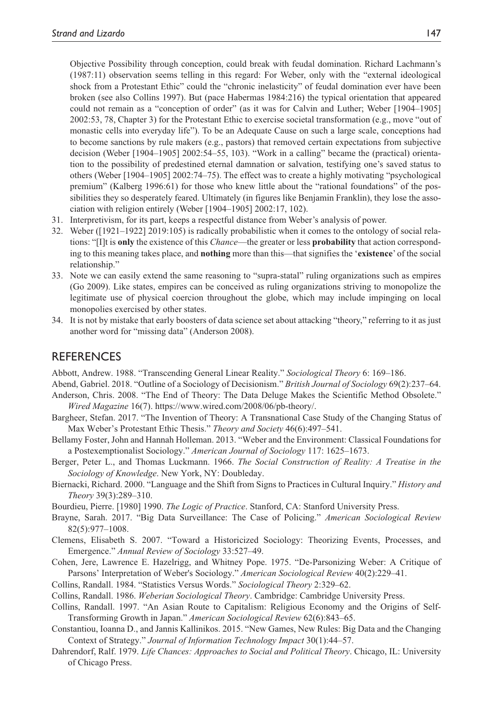Objective Possibility through conception, could break with feudal domination. Richard Lachmann's (1987:11) observation seems telling in this regard: For Weber, only with the "external ideological shock from a Protestant Ethic" could the "chronic inelasticity" of feudal domination ever have been broken (see also Collins 1997). But (pace Habermas 1984:216) the typical orientation that appeared could not remain as a "conception of order" (as it was for Calvin and Luther; Weber [1904–1905] 2002:53, 78, Chapter 3) for the Protestant Ethic to exercise societal transformation (e.g., move "out of monastic cells into everyday life"). To be an Adequate Cause on such a large scale, conceptions had to become sanctions by rule makers (e.g., pastors) that removed certain expectations from subjective decision (Weber [1904–1905] 2002:54–55, 103). "Work in a calling" became the (practical) orientation to the possibility of predestined eternal damnation or salvation, testifying one's saved status to others (Weber [1904–1905] 2002:74–75). The effect was to create a highly motivating "psychological premium" (Kalberg 1996:61) for those who knew little about the "rational foundations" of the possibilities they so desperately feared. Ultimately (in figures like Benjamin Franklin), they lose the association with religion entirely (Weber [1904–1905] 2002:17, 102).

- 31. Interpretivism, for its part, keeps a respectful distance from Weber's analysis of power.
- 32. Weber ([1921–1922] 2019:105) is radically probabilistic when it comes to the ontology of social relations: "[I]t is **only** the existence of this *Chance*—the greater or less **probability** that action corresponding to this meaning takes place, and **nothing** more than this—that signifies the '**existence**' of the social relationship."
- 33. Note we can easily extend the same reasoning to "supra-statal" ruling organizations such as empires (Go 2009). Like states, empires can be conceived as ruling organizations striving to monopolize the legitimate use of physical coercion throughout the globe, which may include impinging on local monopolies exercised by other states.
- 34. It is not by mistake that early boosters of data science set about attacking "theory," referring to it as just another word for "missing data" (Anderson 2008).

## **REFERENCES**

Abbott, Andrew. 1988. "Transcending General Linear Reality." *Sociological Theory* 6: 169–186.

- Abend, Gabriel. 2018. "Outline of a Sociology of Decisionism." *British Journal of Sociology* 69(2):237–64.
- Anderson, Chris. 2008. "The End of Theory: The Data Deluge Makes the Scientific Method Obsolete." *Wired Magazine* 16(7). [https://www.wired.com/2008/06/pb-theory/.](https://www.wired.com/2008/06/pb-theory/)
- Bargheer, Stefan. 2017. "The Invention of Theory: A Transnational Case Study of the Changing Status of Max Weber's Protestant Ethic Thesis." *Theory and Society* 46(6):497–541.
- Bellamy Foster, John and Hannah Holleman. 2013. "Weber and the Environment: Classical Foundations for a Postexemptionalist Sociology." *American Journal of Sociology* 117: 1625–1673.
- Berger, Peter L., and Thomas Luckmann. 1966. *The Social Construction of Reality: A Treatise in the Sociology of Knowledge*. New York, NY: Doubleday.
- Biernacki, Richard. 2000. "Language and the Shift from Signs to Practices in Cultural Inquiry." *History and Theory* 39(3):289–310.

Bourdieu, Pierre. [1980] 1990. *The Logic of Practice*. Stanford, CA: Stanford University Press.

- Brayne, Sarah. 2017. "Big Data Surveillance: The Case of Policing." *American Sociological Review* 82(5):977–1008.
- Clemens, Elisabeth S. 2007. "Toward a Historicized Sociology: Theorizing Events, Processes, and Emergence." *Annual Review of Sociology* 33:527–49.
- Cohen, Jere, Lawrence E. Hazelrigg, and Whitney Pope. 1975. "De-Parsonizing Weber: A Critique of Parsons' Interpretation of Weber's Sociology." *American Sociological Review* 40(2):229–41.
- Collins, Randall. 1984. "Statistics Versus Words." *Sociological Theory* 2:329–62.
- Collins, Randall. 1986. *Weberian Sociological Theory*. Cambridge: Cambridge University Press.
- Collins, Randall. 1997. "An Asian Route to Capitalism: Religious Economy and the Origins of Self-Transforming Growth in Japan." *American Sociological Review* 62(6):843–65.
- Constantiou, Ioanna D., and Jannis Kallinikos. 2015. "New Games, New Rules: Big Data and the Changing Context of Strategy." *Journal of Information Technology Impact* 30(1):44–57.
- Dahrendorf, Ralf. 1979. *Life Chances: Approaches to Social and Political Theory*. Chicago, IL: University of Chicago Press.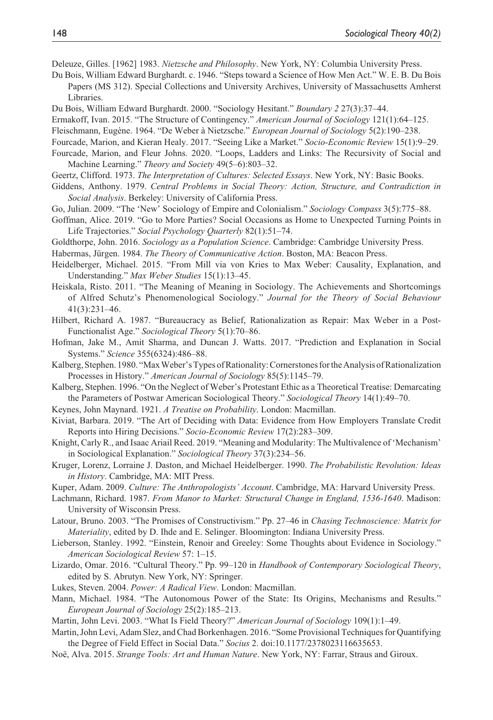Deleuze, Gilles. [1962] 1983. *Nietzsche and Philosophy*. New York, NY: Columbia University Press.

- Du Bois, William Edward Burghardt. c. 1946. "Steps toward a Science of How Men Act." W. E. B. Du Bois Papers (MS 312). Special Collections and University Archives, University of Massachusetts Amherst Libraries.
- Du Bois, William Edward Burghardt. 2000. "Sociology Hesitant." *Boundary 2* 27(3):37–44.
- Ermakoff, Ivan. 2015. "The Structure of Contingency." *American Journal of Sociology* 121(1):64–125.
- Fleischmann, Eugène. 1964. "De Weber à Nietzsche." *European Journal of Sociology* 5(2):190–238.
- Fourcade, Marion, and Kieran Healy. 2017. "Seeing Like a Market." *Socio-Economic Review* 15(1):9–29.
- Fourcade, Marion, and Fleur Johns. 2020. "Loops, Ladders and Links: The Recursivity of Social and Machine Learning." *Theory and Society* 49(5–6):803–32.
- Geertz, Clifford. 1973. *The Interpretation of Cultures: Selected Essays*. New York, NY: Basic Books.
- Giddens, Anthony. 1979. *Central Problems in Social Theory: Action, Structure, and Contradiction in Social Analysis*. Berkeley: University of California Press.
- Go, Julian. 2009. "The 'New' Sociology of Empire and Colonialism." *Sociology Compass* 3(5):775–88.
- Goffman, Alice. 2019. "Go to More Parties? Social Occasions as Home to Unexpected Turning Points in Life Trajectories." *Social Psychology Quarterly* 82(1):51–74.
- Goldthorpe, John. 2016. *Sociology as a Population Science*. Cambridge: Cambridge University Press.

Habermas, Jürgen. 1984. *The Theory of Communicative Action*. Boston, MA: Beacon Press.

- Heidelberger, Michael. 2015. "From Mill via von Kries to Max Weber: Causality, Explanation, and Understanding." *Max Weber Studies* 15(1):13–45.
- Heiskala, Risto. 2011. "The Meaning of Meaning in Sociology. The Achievements and Shortcomings of Alfred Schutz's Phenomenological Sociology." *Journal for the Theory of Social Behaviour* 41(3):231–46.
- Hilbert, Richard A. 1987. "Bureaucracy as Belief, Rationalization as Repair: Max Weber in a Post-Functionalist Age." *Sociological Theory* 5(1):70–86.
- Hofman, Jake M., Amit Sharma, and Duncan J. Watts. 2017. "Prediction and Explanation in Social Systems." *Science* 355(6324):486–88.
- Kalberg, Stephen. 1980. "Max Weber's Types of Rationality: Cornerstones for the Analysis of Rationalization Processes in History." *American Journal of Sociology* 85(5):1145–79.
- Kalberg, Stephen. 1996. "On the Neglect of Weber's Protestant Ethic as a Theoretical Treatise: Demarcating the Parameters of Postwar American Sociological Theory." *Sociological Theory* 14(1):49–70.
- Keynes, John Maynard. 1921. *A Treatise on Probability*. London: Macmillan.
- Kiviat, Barbara. 2019. "The Art of Deciding with Data: Evidence from How Employers Translate Credit Reports into Hiring Decisions." *Socio-Economic Review* 17(2):283–309.
- Knight, Carly R., and Isaac Ariail Reed. 2019. "Meaning and Modularity: The Multivalence of 'Mechanism' in Sociological Explanation." *Sociological Theory* 37(3):234–56.
- Kruger, Lorenz, Lorraine J. Daston, and Michael Heidelberger. 1990. *The Probabilistic Revolution: Ideas in History*. Cambridge, MA: MIT Press.

Kuper, Adam. 2009. *Culture: The Anthropologists' Account*. Cambridge, MA: Harvard University Press.

- Lachmann, Richard. 1987. *From Manor to Market: Structural Change in England, 1536-1640*. Madison: University of Wisconsin Press.
- Latour, Bruno. 2003. "The Promises of Constructivism." Pp. 27–46 in *Chasing Technoscience: Matrix for Materiality*, edited by D. Ihde and E. Selinger. Bloomington: Indiana University Press.
- Lieberson, Stanley. 1992. "Einstein, Renoir and Greeley: Some Thoughts about Evidence in Sociology." *American Sociological Review* 57: 1–15.
- Lizardo, Omar. 2016. "Cultural Theory." Pp. 99–120 in *Handbook of Contemporary Sociological Theory*, edited by S. Abrutyn. New York, NY: Springer.
- Lukes, Steven. 2004. *Power: A Radical View*. London: Macmillan.
- Mann, Michael. 1984. "The Autonomous Power of the State: Its Origins, Mechanisms and Results." *European Journal of Sociology* 25(2):185–213.
- Martin, John Levi. 2003. "What Is Field Theory?" *American Journal of Sociology* 109(1):1–49.
- Martin, John Levi, Adam Slez, and Chad Borkenhagen. 2016. "Some Provisional Techniques for Quantifying the Degree of Field Effect in Social Data." *Socius* 2. doi:10.1177/2378023116635653.
- Noë, Alva. 2015. *Strange Tools: Art and Human Nature*. New York, NY: Farrar, Straus and Giroux.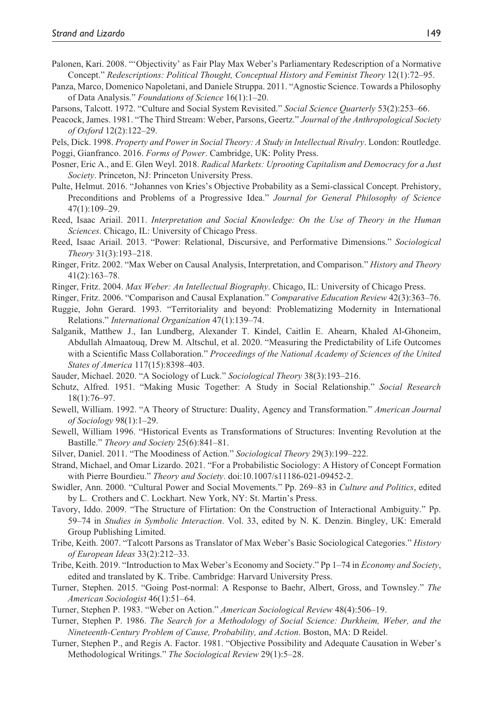- Palonen, Kari. 2008. "'Objectivity' as Fair Play Max Weber's Parliamentary Redescription of a Normative Concept." *Redescriptions: Political Thought, Conceptual History and Feminist Theory* 12(1):72–95.
- Panza, Marco, Domenico Napoletani, and Daniele Struppa. 2011. "Agnostic Science. Towards a Philosophy of Data Analysis." *Foundations of Science* 16(1):1–20.
- Parsons, Talcott. 1972. "Culture and Social System Revisited." *Social Science Quarterly* 53(2):253–66.
- Peacock, James. 1981. "The Third Stream: Weber, Parsons, Geertz." *Journal of the Anthropological Society of Oxford* 12(2):122–29.

Pels, Dick. 1998. *Property and Power in Social Theory: A Study in Intellectual Rivalry*. London: Routledge. Poggi, Gianfranco. 2016. *Forms of Power*. Cambridge, UK: Polity Press.

- Posner, Eric A., and E. Glen Weyl. 2018. *Radical Markets: Uprooting Capitalism and Democracy for a Just Society*. Princeton, NJ: Princeton University Press.
- Pulte, Helmut. 2016. "Johannes von Kries's Objective Probability as a Semi-classical Concept. Prehistory, Preconditions and Problems of a Progressive Idea." *Journal for General Philosophy of Science* 47(1):109–29.
- Reed, Isaac Ariail. 2011. *Interpretation and Social Knowledge: On the Use of Theory in the Human Sciences*. Chicago, IL: University of Chicago Press.
- Reed, Isaac Ariail. 2013. "Power: Relational, Discursive, and Performative Dimensions." *Sociological Theory* 31(3):193–218.
- Ringer, Fritz. 2002. "Max Weber on Causal Analysis, Interpretation, and Comparison." *History and Theory* 41(2):163–78.
- Ringer, Fritz. 2004. *Max Weber: An Intellectual Biography*. Chicago, IL: University of Chicago Press.
- Ringer, Fritz. 2006. "Comparison and Causal Explanation." *Comparative Education Review* 42(3):363–76.
- Ruggie, John Gerard. 1993. "Territoriality and beyond: Problematizing Modernity in International Relations." *International Organization* 47(1):139–74.
- Salganik, Matthew J., Ian Lundberg, Alexander T. Kindel, Caitlin E. Ahearn, Khaled Al-Ghoneim, Abdullah Almaatouq, Drew M. Altschul, et al. 2020. "Measuring the Predictability of Life Outcomes with a Scientific Mass Collaboration." *Proceedings of the National Academy of Sciences of the United States of America* 117(15):8398–403.
- Sauder, Michael. 2020. "A Sociology of Luck." *Sociological Theory* 38(3):193–216.
- Schutz, Alfred. 1951. "Making Music Together: A Study in Social Relationship." *Social Research* 18(1):76–97.
- Sewell, William. 1992. "A Theory of Structure: Duality, Agency and Transformation." *American Journal of Sociology* 98(1):1–29.
- Sewell, William 1996. "Historical Events as Transformations of Structures: Inventing Revolution at the Bastille." *Theory and Society* 25(6):841–81.
- Silver, Daniel. 2011. "The Moodiness of Action." *Sociological Theory* 29(3):199–222.
- Strand, Michael, and Omar Lizardo. 2021. "For a Probabilistic Sociology: A History of Concept Formation with Pierre Bourdieu." *Theory and Society*. doi:10.1007/s11186-021-09452-2.
- Swidler, Ann. 2000. "Cultural Power and Social Movements." Pp. 269–83 in *Culture and Politics*, edited by L. Crothers and C. Lockhart. New York, NY: St. Martin's Press.
- Tavory, Iddo. 2009. "The Structure of Flirtation: On the Construction of Interactional Ambiguity." Pp. 59–74 in *Studies in Symbolic Interaction*. Vol. 33, edited by N. K. Denzin. Bingley, UK: Emerald Group Publishing Limited.
- Tribe, Keith. 2007. "Talcott Parsons as Translator of Max Weber's Basic Sociological Categories." *History of European Ideas* 33(2):212–33.
- Tribe, Keith. 2019. "Introduction to Max Weber's Economy and Society." Pp 1–74 in *Economy and Society*, edited and translated by K. Tribe. Cambridge: Harvard University Press.
- Turner, Stephen. 2015. "Going Post-normal: A Response to Baehr, Albert, Gross, and Townsley." *The American Sociologist* 46(1):51–64.
- Turner, Stephen P. 1983. "Weber on Action." *American Sociological Review* 48(4):506–19.
- Turner, Stephen P. 1986. *The Search for a Methodology of Social Science: Durkheim, Weber, and the Nineteenth-Century Problem of Cause, Probability, and Action*. Boston, MA: D Reidel.
- Turner, Stephen P., and Regis A. Factor. 1981. "Objective Possibility and Adequate Causation in Weber's Methodological Writings." *The Sociological Review* 29(1):5–28.